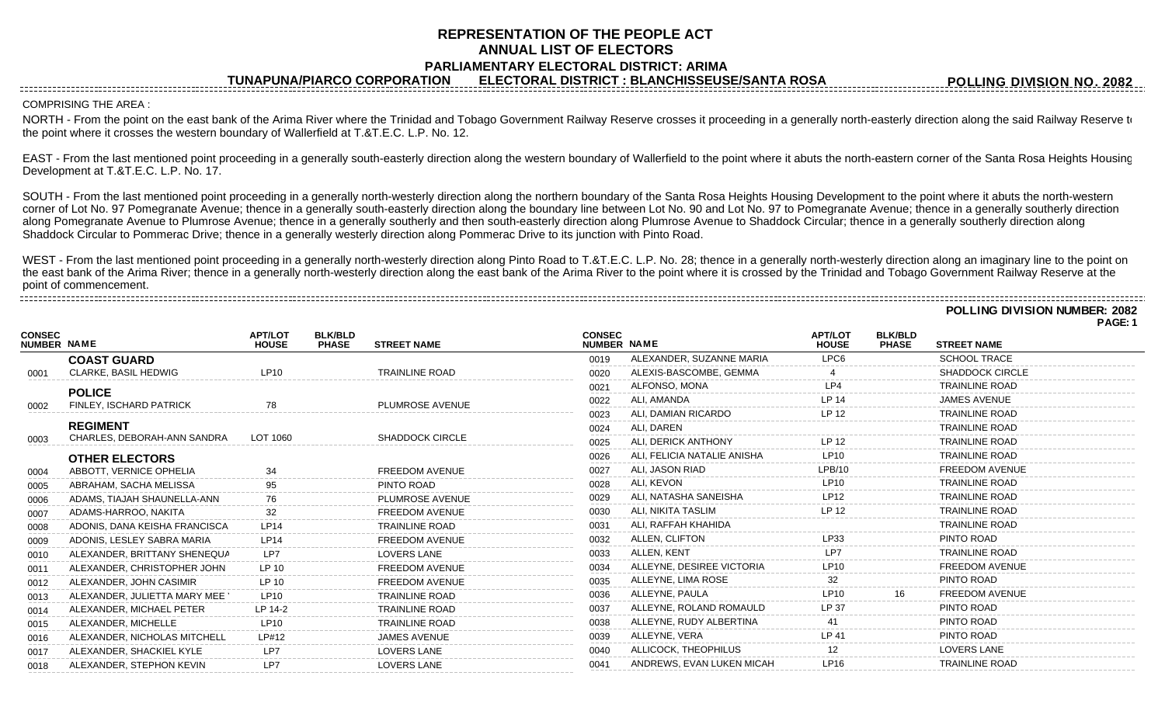## **REPRESENTATION OF THE PEOPLE ACT ANNUAL LIST OF ELECTORS PARLIAMENTARY ELECTORAL DISTRICT: ARIMA**

**TUNAPUNA/PIARCO CORPORATION ELECTORAL DISTRICT : BLANCHISSEUSE/SANTA ROSA**

**POLLING DIVISION NO. 2082**

**POLLING DIVISION NUMBER: 2082**

## COMPRISING THE AREA :

NORTH - From the point on the east bank of the Arima River where the Trinidad and Tobago Government Railway Reserve crosses it proceeding in a generally north-easterly direction along the said Railway Reserve to the point where it crosses the western boundary of Wallerfield at T.&T.E.C. L.P. No. 12.

EAST - From the last mentioned point proceeding in a generally south-easterly direction along the western boundary of Wallerfield to the point where it abuts the north-eastern corner of the Santa Rosa Heights Housing Development at T.&T.E.C. L.P. No. 17.

SOUTH - From the last mentioned point proceeding in a generally north-westerly direction along the northern boundary of the Santa Rosa Heights Housing Development to the point where it abuts the north-western corner of Lot No. 97 Pomegranate Avenue; thence in a generally south-easterly direction along the boundary line between Lot No. 90 and Lot No. 97 to Pomegranate Avenue; thence in a generally southerly direction along Pomegranate Avenue to Plumrose Avenue; thence in a generally southerly and then south-easterly direction along Plumrose Avenue to Shaddock Circular; thence in a generally southerly direction along Shaddock Circular to Pommerac Drive; thence in a generally westerly direction along Pommerac Drive to its junction with Pinto Road.

WEST - From the last mentioned point proceeding in a generally north-westerly direction along Pinto Road to T.&T.E.C. L.P. No. 28; thence in a generally north-westerly direction along an imaginary line to the point on the east bank of the Arima River; thence in a generally north-westerly direction along the east bank of the Arima River to the point where it is crossed by the Trinidad and Tobago Government Railway Reserve at the point of commencement. 

|                                     |                               |                                |                                |                        |               |                             |                                |                                |                        | PAGE: 1 |
|-------------------------------------|-------------------------------|--------------------------------|--------------------------------|------------------------|---------------|-----------------------------|--------------------------------|--------------------------------|------------------------|---------|
| <b>CONSEC</b><br><b>NUMBER NAME</b> |                               | <b>APT/LOT</b><br><b>HOUSE</b> | <b>BLK/BLD</b><br><b>PHASE</b> | <b>STREET NAME</b>     | <b>CONSEC</b> | NUMBER NAME                 | <b>APT/LOT</b><br><b>HOUSE</b> | <b>BLK/BLD</b><br><b>PHASE</b> | <b>STREET NAME</b>     |         |
|                                     | <b>COAST GUARD</b>            |                                |                                |                        | 0019          | ALEXANDER, SUZANNE MARIA    | LPC6                           |                                | <b>SCHOOL TRACE</b>    |         |
| 0001                                | <b>CLARKE, BASIL HEDWIG</b>   | LP10                           |                                | <b>TRAINLINE ROAD</b>  | 0020          | ALEXIS-BASCOMBE, GEMMA      |                                |                                | <b>SHADDOCK CIRCLE</b> |         |
|                                     | <b>POLICE</b>                 |                                |                                |                        | 0021          | ALFONSO, MONA               | $I$ P4                         |                                | <b>TRAINLINE ROAD</b>  |         |
| 0002                                | FINLEY, ISCHARD PATRICK       | 78                             |                                | PLUMROSE AVENUE        | 0022          | ALI. AMANDA                 | <b>LP 14</b>                   |                                | <b>JAMES AVENUE</b>    |         |
|                                     |                               |                                |                                |                        | 0023          | ALI. DAMIAN RICARDO         | <b>LP 12</b>                   |                                | <b>TRAINLINE ROAD</b>  |         |
|                                     | <b>REGIMENT</b>               |                                |                                |                        | 0024          | ALI. DAREN                  |                                |                                | <b>TRAINLINE ROAD</b>  |         |
| 0003                                | CHARLES, DEBORAH-ANN SANDRA   | LOT 1060                       |                                | <b>SHADDOCK CIRCLE</b> | 0025          | ALI, DERICK ANTHONY         | LP 12                          |                                | <b>TRAINLINE ROAD</b>  |         |
|                                     | <b>OTHER ELECTORS</b>         |                                |                                |                        | 0026          | ALI. FELICIA NATALIE ANISHA | <b>LP10</b>                    |                                | <b>TRAINLINE ROAD</b>  |         |
| 0004                                | ABBOTT, VERNICE OPHELIA       | 34                             |                                | <b>FREEDOM AVENUE</b>  | 0027          | ALI, JASON RIAD             | LPB/10                         |                                | <b>FREEDOM AVENUE</b>  |         |
| 0005                                | ABRAHAM, SACHA MELISSA        | 95                             |                                | PINTO ROAD             | 0028          | <b>ALI. KEVON</b>           | <b>LP10</b>                    |                                | <b>TRAINLINE ROAD</b>  |         |
| 0006                                | ADAMS, TIAJAH SHAUNELLA-ANN   | 76                             |                                | PLUMROSE AVENUE        | 0029          | ALI, NATASHA SANEISHA       | LP12                           |                                | <b>TRAINLINE ROAD</b>  |         |
| 0007                                | ADAMS-HARROO, NAKITA          | 32                             |                                | <b>FREEDOM AVENUE</b>  | 0030          | ALI. NIKITA TASLIM          | LP 12                          |                                | <b>TRAINLINE ROAD</b>  |         |
| 0008                                | ADONIS, DANA KEISHA FRANCISCA | <b>LP14</b>                    |                                | <b>TRAINLINE ROAD</b>  | 0031          | ALI. RAFFAH KHAHIDA         |                                |                                | <b>TRAINLINE ROAD</b>  |         |
| 0009                                | ADONIS, LESLEY SABRA MARIA    | LP14                           |                                | FREEDOM AVENUE         | 0032          | ALLEN, CLIFTON              | LP33                           |                                | PINTO ROAD             |         |
| 0010                                | ALEXANDER, BRITTANY SHENEQUA  | LP7                            |                                | <b>LOVERS LANE</b>     | 0033          | ALLEN, KENT                 | LP7                            |                                | <b>TRAINLINE ROAD</b>  |         |
| 0011                                | ALEXANDER, CHRISTOPHER JOHN   | IP 10                          |                                | <b>FREEDOM AVENUE</b>  | 0034          | ALLEYNE, DESIREE VICTORIA   | LP10                           |                                | <b>FREEDOM AVENUE</b>  |         |
| 0012                                | ALEXANDER, JOHN CASIMIR       | LP 10                          |                                | <b>FREEDOM AVENUE</b>  | 0035          | ALLEYNE, LIMA ROSE          | 32                             |                                | PINTO ROAD             |         |
| 0013                                | ALEXANDER, JULIETTA MARY MEE  | $- - - - - -$<br><b>LP10</b>   |                                | <b>TRAINLINE ROAD</b>  | 0036          | ALLEYNE. PAULA              | <b>LP10</b>                    |                                | <b>FREEDOM AVENUE</b>  |         |
| 0014                                | ALEXANDER, MICHAEL PETER      | LP 14-2                        |                                | <b>TRAINLINE ROAD</b>  | 0037          | ALLEYNE, ROLAND ROMAULD     | LP 37                          |                                | PINTO ROAD             |         |
| 0015                                | ALEXANDER, MICHELLE           | LP10                           |                                | <b>TRAINLINE ROAD</b>  | 0038          | ALLEYNE, RUDY ALBERTINA     | 41                             |                                | PINTO ROAD             |         |
| 0016                                | ALEXANDER, NICHOLAS MITCHELL  | LP#12                          |                                | <b>JAMES AVENUE</b>    | 0039          | ALLEYNE, VERA               | LP 41                          |                                | PINTO ROAD             |         |
| 0017                                | ALEXANDER, SHACKIEL KYLE      | LP7                            |                                | <b>LOVERS LANE</b>     | 0040          | ALLICOCK, THEOPHILUS        | 12                             |                                | <b>LOVERS LANE</b>     |         |
| 0018                                | ALEXANDER, STEPHON KEVIN      | LP7                            |                                | <b>LOVERS LANE</b>     | 0041          | ANDREWS, EVAN LUKEN MICAH   | LP16                           |                                | <b>TRAINLINE ROAD</b>  |         |
|                                     |                               |                                |                                |                        |               |                             |                                |                                |                        |         |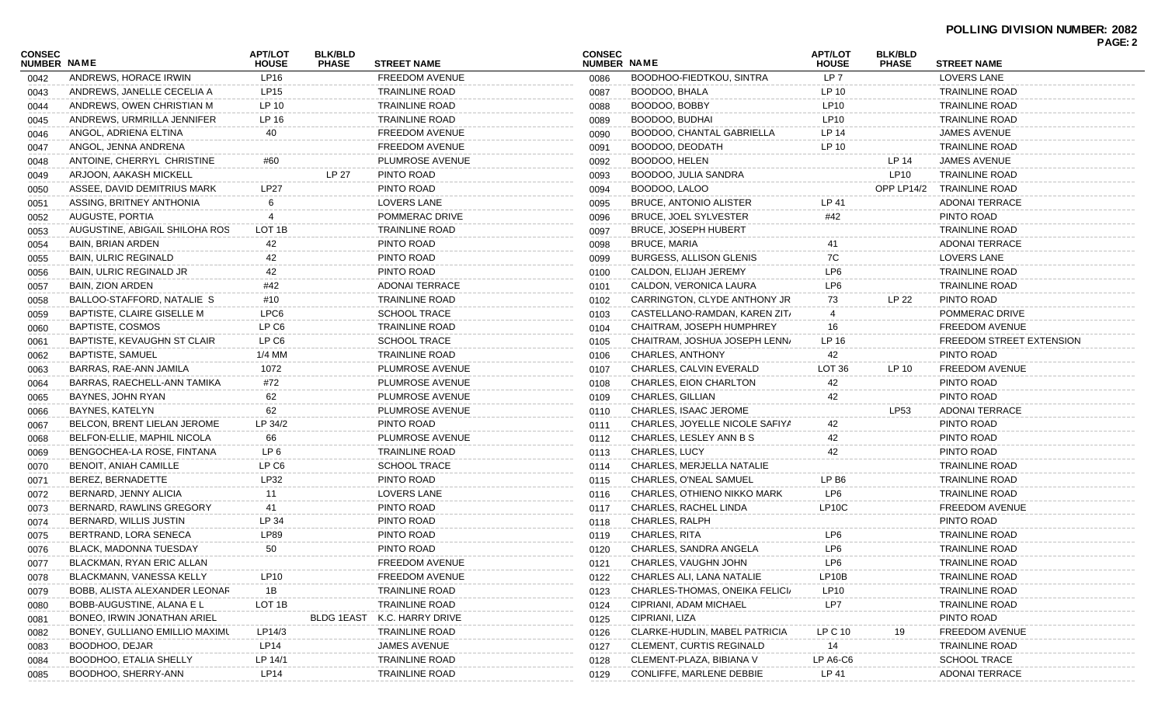| <b>CONSEC</b><br><b>NUMBER NAME</b> |                                | <b>APT/LOT</b><br><b>HOUSE</b> | <b>BLK/BLD</b><br><b>PHASE</b> | <b>STREET NAME</b>    | <b>CONSEC</b><br>NUMBER NAME |                                 | <b>APT/LOT</b><br><b>HOUSE</b> | <b>BLK/BLD</b><br><b>PHASE</b> | <b>STREET NAME</b>        | . AVL.Z |
|-------------------------------------|--------------------------------|--------------------------------|--------------------------------|-----------------------|------------------------------|---------------------------------|--------------------------------|--------------------------------|---------------------------|---------|
| 0042                                | ANDREWS, HORACE IRWIN          | LP16                           |                                | <b>FREEDOM AVENUE</b> | 0086                         | BOODHOO-FIEDTKOU, SINTRA        | LP 7                           |                                | LOVERS LANE               |         |
| 0043                                | ANDREWS, JANELLE CECELIA A     | LP15                           |                                | <b>TRAINLINE ROAD</b> | 0087                         | BOODOO, BHALA                   | LP 10                          |                                | TRAINLINE ROAD            |         |
| 0044                                | ANDREWS, OWEN CHRISTIAN M      | LP 10                          |                                | <b>TRAINLINE ROAD</b> | 0088                         | BOODOO, BOBBY                   | LP10                           |                                | TRAINLINE ROAD            |         |
| 0045                                | ANDREWS, URMRILLA JENNIFER     | LP 16                          |                                | <b>TRAINLINE ROAD</b> | 0089                         | BOODOO, BUDHAI                  | LP10                           |                                | <b>TRAINLINE ROAD</b>     |         |
| 0046                                | ANGOL, ADRIENA ELTINA          | 40                             |                                | FREEDOM AVENUE        | 0090                         | BOODOO, CHANTAL GABRIELLA       | LP 14                          |                                | JAMES AVENUE              |         |
| 0047                                | ANGOL, JENNA ANDRENA           |                                |                                | FREEDOM AVENUE        | 0091                         | BOODOO, DEODATH                 | LP 10                          |                                | <b>TRAINLINE ROAD</b>     |         |
| 0048                                | ANTOINE, CHERRYL CHRISTINE     | #60                            |                                | PLUMROSE AVENUE       | 0092                         | BOODOO, HELEN                   |                                | LP 14                          | JAMES AVENUE              |         |
| 0049                                | ARJOON, AAKASH MICKELL         |                                | LP 27                          | PINTO ROAD            | 0093                         | BOODOO, JULIA SANDRA            |                                | <b>LP10</b>                    | <b>TRAINLINE ROAD</b>     |         |
| 0050                                | ASSEE, DAVID DEMITRIUS MARK    | <b>LP27</b>                    |                                | PINTO ROAD            | 0094                         | BOODOO, LALOO                   |                                |                                | OPP LP14/2 TRAINLINE ROAD |         |
| 0051                                | ASSING, BRITNEY ANTHONIA       | 6                              |                                | LOVERS LANE           | 0095                         | <b>BRUCE, ANTONIO ALISTER</b>   | LP 41                          |                                | ADONAI TERRACE            |         |
| 0052                                | AUGUSTE, PORTIA                | 4                              |                                | POMMERAC DRIVE        | 0096                         | BRUCE, JOEL SYLVESTER           | #42                            |                                | PINTO ROAD                |         |
| 0053                                | AUGUSTINE, ABIGAIL SHILOHA ROS | LOT 1B                         |                                | <b>TRAINLINE ROAD</b> | 0097                         | <b>BRUCE, JOSEPH HUBERT</b>     |                                |                                | <b>TRAINLINE ROAD</b>     |         |
| 0054                                | <b>BAIN, BRIAN ARDEN</b>       | 42                             |                                | PINTO ROAD            | 0098                         | <b>BRUCE, MARIA</b>             |                                |                                | <b>ADONAI TERRACE</b>     |         |
| 0055                                | <b>BAIN, ULRIC REGINALD</b>    | 42                             |                                | PINTO ROAD            | 0099                         | <b>BURGESS, ALLISON GLENIS</b>  | 7C                             |                                | LOVERS LANE               |         |
| 0056                                | BAIN, ULRIC REGINALD JR        | 42                             |                                | PINTO ROAD            | 0100                         | CALDON, ELIJAH JEREMY           | LP <sub>6</sub>                |                                | <b>TRAINLINE ROAD</b>     |         |
| 0057                                | BAIN, ZION ARDEN               | #42                            |                                | <b>ADONAI TERRACE</b> | 0101                         | CALDON, VERONICA LAURA          | LP <sub>6</sub>                |                                | <b>TRAINLINE ROAD</b>     |         |
| 0058                                | BALLOO-STAFFORD, NATALIE S     | #10                            |                                | <b>TRAINLINE ROAD</b> | 0102                         | CARRINGTON, CLYDE ANTHONY JR    | 73                             | LP 22                          | PINTO ROAD                |         |
| 0059                                | BAPTISTE, CLAIRE GISELLE M     | LPC6                           |                                | <b>SCHOOL TRACE</b>   | 0103                         | CASTELLANO-RAMDAN, KAREN ZIT/   | 4                              |                                | POMMERAC DRIVE            |         |
| 0060                                | <b>BAPTISTE, COSMOS</b>        | LP C6                          |                                | <b>TRAINLINE ROAD</b> | 0104                         | CHAITRAM, JOSEPH HUMPHREY       | 16                             |                                | <b>FREEDOM AVENUE</b>     |         |
| 0061                                | BAPTISTE, KEVAUGHN ST CLAIR    | LP C6                          |                                | <b>SCHOOL TRACE</b>   | 0105                         | CHAITRAM, JOSHUA JOSEPH LENN/   | LP 16                          |                                | FREEDOM STREET EXTENSION  |         |
| 0062                                | <b>BAPTISTE, SAMUEL</b>        | 1/4 MM                         |                                | <b>TRAINLINE ROAD</b> | 0106                         | <b>CHARLES, ANTHONY</b>         | 42                             |                                | PINTO ROAD                |         |
| 0063                                | BARRAS, RAE-ANN JAMILA         | 1072                           |                                | PLUMROSE AVENUE       | 0107                         | CHARLES, CALVIN EVERALD         | LOT 36                         | LP 10                          | <b>FREEDOM AVENUE</b>     |         |
| 0064                                | BARRAS, RAECHELL-ANN TAMIKA    | #72                            |                                | PLUMROSE AVENUE       | 0108                         | CHARLES, EION CHARLTON          | 42                             |                                | PINTO ROAD                |         |
| 0065                                | BAYNES, JOHN RYAN              | 62                             |                                | PLUMROSE AVENUE       | 0109                         | CHARLES, GILLIAN                | 42                             |                                | PINTO ROAD                |         |
| 0066                                | BAYNES, KATELYN                | 62                             |                                | PLUMROSE AVENUE       | 0110                         | CHARLES, ISAAC JEROME           |                                | <b>LP53</b>                    | <b>ADONAI TERRACE</b>     |         |
| 0067                                | BELCON, BRENT LIELAN JEROME    | LP 34/2                        |                                | PINTO ROAD            | 0111                         | CHARLES, JOYELLE NICOLE SAFIYA  | 42                             |                                | PINTO ROAD                |         |
| 0068                                | BELFON-ELLIE, MAPHIL NICOLA    | 66                             |                                | PLUMROSE AVENUE       | 0112                         | CHARLES, LESLEY ANN B S         | 42                             |                                | PINTO ROAD                |         |
| 0069                                | BENGOCHEA-LA ROSE, FINTANA     | LP 6                           |                                | <b>TRAINLINE ROAD</b> | 0113                         | CHARLES, LUCY                   | 42                             |                                | PINTO ROAD                |         |
| 0070                                | <b>BENOIT, ANIAH CAMILLE</b>   | LP C6                          |                                | <b>SCHOOL TRACE</b>   | 0114                         | CHARLES, MERJELLA NATALIE       |                                |                                | <b>TRAINLINE ROAD</b>     |         |
| 0071                                | BEREZ, BERNADETTE              | LP32                           |                                | PINTO ROAD            | 0115                         | CHARLES, O'NEAL SAMUEL          | LP B <sub>6</sub>              |                                | <b>TRAINLINE ROAD</b>     |         |
| 0072                                | BERNARD, JENNY ALICIA          | 11                             |                                | <b>LOVERS LANE</b>    | 0116                         | CHARLES, OTHIENO NIKKO MARK     | LP6                            |                                | <b>TRAINLINE ROAD</b>     |         |
| 0073                                | BERNARD, RAWLINS GREGORY       | 41                             |                                | PINTO ROAD            | 0117                         | CHARLES, RACHEL LINDA           | LP <sub>10</sub> C             |                                | FREEDOM AVENUE            |         |
| 0074                                | BERNARD, WILLIS JUSTIN         | LP 34                          |                                | PINTO ROAD            | 0118                         | CHARLES, RALPH                  |                                |                                | PINTO ROAD                |         |
| 0075                                | BERTRAND, LORA SENECA          | <b>LP89</b>                    |                                | PINTO ROAD            | 0119                         | CHARLES, RITA                   | LP6                            |                                | <b>TRAINLINE ROAD</b>     |         |
| 0076                                | BLACK, MADONNA TUESDAY         | 50                             |                                | PINTO ROAD            | 0120                         | CHARLES, SANDRA ANGELA          | LP6                            |                                | <b>TRAINLINE ROAD</b>     |         |
| 0077                                | BLACKMAN, RYAN ERIC ALLAN      |                                |                                | FREEDOM AVENUE        |                              | 0121 CHARLES, VAUGHN JOHN       | LP6                            |                                | TRAINLINE ROAD            |         |
| 0078                                | BLACKMANN, VANESSA KELLY       | LP10                           |                                | FREEDOM AVENUE        | 0122                         | CHARLES ALI, LANA NATALIE       | LP10B                          |                                | <b>TRAINLINE ROAD</b>     |         |
| 0079                                | BOBB, ALISTA ALEXANDER LEONAR  | 1B                             |                                | <b>TRAINLINE ROAD</b> | 0123                         | CHARLES-THOMAS, ONEIKA FELICI/  | LP10                           |                                | <b>TRAINLINE ROAD</b>     |         |
| 0080                                | BOBB-AUGUSTINE, ALANA E L      | LOT <sub>1B</sub>              |                                | <b>TRAINLINE ROAD</b> | 0124                         | CIPRIANI, ADAM MICHAEL          | LP7                            |                                | <b>TRAINLINE ROAD</b>     |         |
| 0081                                | BONEO, IRWIN JONATHAN ARIEL    |                                | <b>BLDG 1EAST</b>              | K.C. HARRY DRIVE      | 0125                         | CIPRIANI, LIZA                  |                                |                                | PINTO ROAD                |         |
| 0082                                | BONEY, GULLIANO EMILLIO MAXIMU | LP14/3                         |                                | <b>TRAINLINE ROAD</b> | 0126                         | CLARKE-HUDLIN, MABEL PATRICIA   | LP C 10                        | 19                             | <b>FREEDOM AVENUE</b>     |         |
| 0083                                | BOODHOO, DEJAR                 | LP14                           |                                | JAMES AVENUE          | 0127                         | <b>CLEMENT, CURTIS REGINALD</b> | 14                             |                                | <b>TRAINLINE ROAD</b>     |         |
| 0084                                | <b>BOODHOO, ETALIA SHELLY</b>  | LP 14/1                        |                                | <b>TRAINLINE ROAD</b> | 0128                         | CLEMENT-PLAZA, BIBIANA V        | LP A6-C6                       |                                | <b>SCHOOL TRACE</b>       |         |
| 0085                                | BOODHOO, SHERRY-ANN            | LP14                           |                                | <b>TRAINLINE ROAD</b> | 0129                         | CONLIFFE, MARLENE DEBBIE        | LP 41                          |                                | <b>ADONAI TERRACE</b>     |         |
|                                     |                                |                                |                                |                       |                              |                                 |                                |                                |                           |         |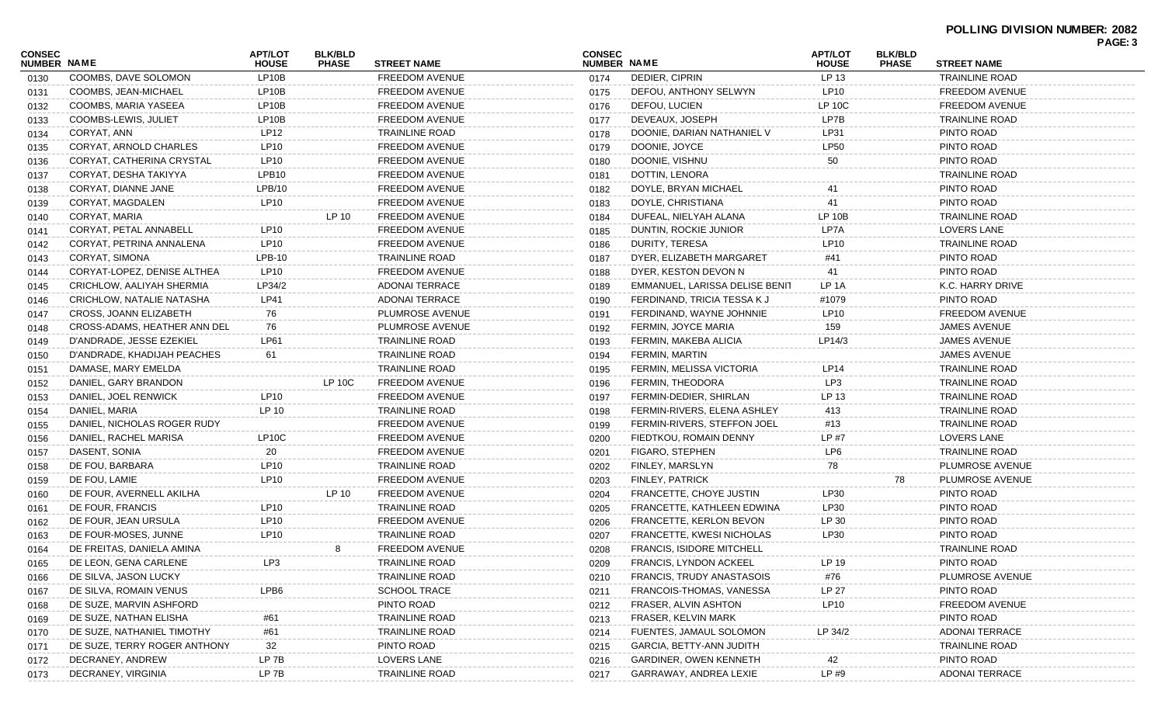|                                     |                              |                                |                                |                       |                              |                                  |                                |                                |                       | <b>FAVE.</b> |
|-------------------------------------|------------------------------|--------------------------------|--------------------------------|-----------------------|------------------------------|----------------------------------|--------------------------------|--------------------------------|-----------------------|--------------|
| <b>CONSEC</b><br><b>NUMBER NAME</b> |                              | <b>APT/LOT</b><br><b>HOUSE</b> | <b>BLK/BLD</b><br><b>PHASE</b> | <b>STREET NAME</b>    | <b>CONSEC</b><br>NUMBER NAME |                                  | <b>APT/LOT</b><br><b>HOUSE</b> | <b>BLK/BLD</b><br><b>PHASE</b> | <b>STREET NAME</b>    |              |
| 0130                                | COOMBS, DAVE SOLOMON         | LP10B                          |                                | FREEDOM AVENUE        | 0174                         | DEDIER, CIPRIN                   | LP 13                          |                                | <b>TRAINLINE ROAD</b> |              |
| 0131                                | COOMBS, JEAN-MICHAEL         | LP10B                          |                                | FREEDOM AVENUE        | 0175                         | DEFOU, ANTHONY SELWYN            | LP10                           |                                | <b>FREEDOM AVENUE</b> |              |
| 0132                                | COOMBS, MARIA YASEEA         | LP10B                          |                                | <b>FREEDOM AVENUE</b> | 0176                         | DEFOU, LUCIEN                    | LP 10C                         |                                | <b>FREEDOM AVENUE</b> |              |
| 0133                                | COOMBS-LEWIS, JULIET         | LP10B                          |                                | <b>FREEDOM AVENUE</b> | 0177                         | DEVEAUX, JOSEPH                  | LP7B                           |                                | TRAINLINE ROAD        |              |
| 0134                                | CORYAT, ANN                  | LP12                           |                                | <b>TRAINLINE ROAD</b> | 0178                         | DOONIE, DARIAN NATHANIEL V       | LP31                           |                                | PINTO ROAD            |              |
| 0135                                | CORYAT, ARNOLD CHARLES       | LP10                           |                                | <b>FREEDOM AVENUE</b> | 0179                         | DOONIE, JOYCE                    | LP50                           |                                | PINTO ROAD            |              |
| 0136                                | CORYAT, CATHERINA CRYSTAL    | LP10                           |                                | <b>FREEDOM AVENUE</b> | 0180                         | DOONIE, VISHNU                   | 50                             |                                | PINTO ROAD            |              |
| 0137                                | CORYAT, DESHA TAKIYYA        | LPB <sub>10</sub>              |                                | <b>FREEDOM AVENUE</b> | 0181                         | DOTTIN, LENORA                   |                                |                                | <b>TRAINLINE ROAD</b> |              |
| 0138                                | CORYAT, DIANNE JANE          | LPB/10                         |                                | <b>FREEDOM AVENUE</b> | 0182                         | DOYLE, BRYAN MICHAEL             | -41                            |                                | PINTO ROAD            |              |
| 0139                                | CORYAT, MAGDALEN             | LP10                           |                                | FREEDOM AVENUE        | 0183                         | DOYLE, CHRISTIANA                | 41                             |                                | PINTO ROAD            |              |
| 0140                                | CORYAT, MARIA                |                                | LP 10                          | <b>FREEDOM AVENUE</b> | 0184                         | DUFEAL, NIELYAH ALANA            | LP 10B                         |                                | <b>TRAINLINE ROAD</b> |              |
| 0141                                | CORYAT, PETAL ANNABELL       | LP10                           |                                | <b>FREEDOM AVENUE</b> | 0185                         | DUNTIN, ROCKIE JUNIOR            | LP7A                           |                                | <b>LOVERS LANE</b>    |              |
| 0142                                | CORYAT, PETRINA ANNALENA     | LP10                           |                                | FREEDOM AVENUE        | 0186                         | DURITY, TERESA                   | LP10                           |                                | <b>TRAINLINE ROAD</b> |              |
| 0143                                | CORYAT, SIMONA               | LPB-10                         |                                | TRAINLINE ROAD        | 0187                         | DYER, ELIZABETH MARGARET         | #41                            |                                | PINTO ROAD            |              |
| 0144                                | CORYAT-LOPEZ, DENISE ALTHEA  | LP10                           |                                | FREEDOM AVENUE        | 0188                         | DYER, KESTON DEVON N             | 41                             |                                | PINTO ROAD            |              |
| 0145                                | CRICHLOW, AALIYAH SHERMIA    | LP34/2                         |                                | ADONAI TERRACE        | 0189                         | EMMANUEL, LARISSA DELISE BENIT   | LP 1A                          |                                | K.C. HARRY DRIVE      |              |
| 0146                                | CRICHLOW, NATALIE NATASHA    | LP41                           |                                | ADONAI TERRACE        | 0190                         | FERDINAND, TRICIA TESSA K J      | #1079                          |                                | PINTO ROAD            |              |
| 0147                                | CROSS, JOANN ELIZABETH       | 76                             |                                | PLUMROSE AVENUE       | 0191                         | FERDINAND, WAYNE JOHNNIE         | LP <sub>10</sub>               |                                | <b>FREEDOM AVENUE</b> |              |
| 0148                                | CROSS-ADAMS, HEATHER ANN DEL | 76                             |                                | PLUMROSE AVENUE       | 0192                         | FERMIN, JOYCE MARIA              | 159                            |                                | JAMES AVENUE          |              |
| 0149                                | D'ANDRADE, JESSE EZEKIEL     | LP61                           |                                | <b>TRAINLINE ROAD</b> | 0193                         | FERMIN, MAKEBA ALICIA            | LP14/3                         |                                | JAMES AVENUE          |              |
| 0150                                | D'ANDRADE, KHADIJAH PEACHES  | 61                             |                                | <b>TRAINLINE ROAD</b> | 0194                         | FERMIN, MARTIN                   |                                |                                | JAMES AVENUE          |              |
| 0151                                | DAMASE, MARY EMELDA          |                                |                                | <b>TRAINLINE ROAD</b> | 0195                         | FERMIN, MELISSA VICTORIA         | LP <sub>14</sub>               |                                | <b>TRAINLINE ROAD</b> |              |
| 0152                                | DANIEL, GARY BRANDON         |                                | LP 10C                         | FREEDOM AVENUE        | 0196                         | FERMIN, THEODORA                 | LP3                            |                                | <b>TRAINLINE ROAD</b> |              |
| 0153                                | DANIEL, JOEL RENWICK         | LP10                           |                                | FREEDOM AVENUE        | 0197                         | FERMIN-DEDIER, SHIRLAN           | LP 13                          |                                | <b>TRAINLINE ROAD</b> |              |
| 0154                                | DANIEL, MARIA                | LP 10                          |                                | <b>TRAINLINE ROAD</b> | 0198                         | FERMIN-RIVERS, ELENA ASHLEY      | 413                            |                                | <b>TRAINLINE ROAD</b> |              |
| 0155                                | DANIEL, NICHOLAS ROGER RUDY  |                                |                                | <b>FREEDOM AVENUE</b> | 0199                         | FERMIN-RIVERS, STEFFON JOEL      | #13                            |                                | <b>TRAINLINE ROAD</b> |              |
| 0156                                | DANIEL, RACHEL MARISA        | LP10C                          |                                | FREEDOM AVENUE        | 0200                         | FIEDTKOU, ROMAIN DENNY           | LP #7                          |                                | <b>LOVERS LANE</b>    |              |
| 0157                                | DASENT, SONIA                | 20                             |                                | FREEDOM AVENUE        | 0201                         | FIGARO, STEPHEN                  | LP6                            |                                | <b>TRAINLINE ROAD</b> |              |
| 0158                                | DE FOU, BARBARA              | LP10                           |                                | <b>TRAINLINE ROAD</b> | 0202                         | FINLEY, MARSLYN                  | 78                             |                                | PLUMROSE AVENUE       |              |
| 0159                                | DE FOU, LAMIE                | LP10                           |                                | FREEDOM AVENUE        | 0203                         | FINLEY, PATRICK                  |                                | 78                             | PLUMROSE AVENUE       |              |
| 0160                                | DE FOUR, AVERNELL AKILHA     |                                | LP 10                          | FREEDOM AVENUE        | 0204                         | FRANCETTE, CHOYE JUSTIN          | LP30                           |                                | PINTO ROAD            |              |
| 0161                                | DE FOUR, FRANCIS             | LP <sub>10</sub>               |                                | <b>TRAINLINE ROAD</b> | 0205                         | FRANCETTE, KATHLEEN EDWINA       | LP30                           |                                | PINTO ROAD            |              |
| 0162                                | DE FOUR, JEAN URSULA         | LP10                           |                                | FREEDOM AVENUE        | 0206                         | FRANCETTE, KERLON BEVON          | LP 30                          |                                | PINTO ROAD            |              |
| 0163                                | DE FOUR-MOSES, JUNNE         | LP <sub>10</sub>               |                                | <b>TRAINLINE ROAD</b> | 0207                         | FRANCETTE, KWESI NICHOLAS        | LP30                           |                                | PINTO ROAD            |              |
| 0164                                | DE FREITAS, DANIELA AMINA    |                                | 8                              | <b>FREEDOM AVENUE</b> | 0208                         | <b>FRANCIS, ISIDORE MITCHELL</b> |                                |                                | TRAINLINE ROAD        |              |
| 0165                                | DE LEON, GENA CARLENE        |                                |                                | TRAINLINE ROAD        | 0209                         | FRANCIS, LYNDON ACKEEL           | LP 19                          |                                | PINTO ROAD            |              |
| 0166                                | DE SILVA, JASON LUCKY        |                                |                                | <b>TRAINLINE ROAD</b> | 0210                         | FRANCIS, TRUDY ANASTASOIS        | #76                            |                                | PLUMROSE AVENUE       |              |
| 0167                                | DE SILVA, ROMAIN VENUS       | LPB6                           |                                | <b>SCHOOL TRACE</b>   | 0211                         | FRANCOIS-THOMAS, VANESSA         | LP 27                          |                                | PINTO ROAD            |              |
| 0168                                | DE SUZE, MARVIN ASHFORD      |                                |                                | PINTO ROAD            | 0212                         | FRASER, ALVIN ASHTON             | LP10                           |                                | <b>FREEDOM AVENUE</b> |              |
| 0169                                | DE SUZE, NATHAN ELISHA       |                                |                                | <b>TRAINLINE ROAD</b> | 0213                         | FRASER, KELVIN MARK              |                                |                                | PINTO ROAD            |              |
| 0170                                | DE SUZE, NATHANIEL TIMOTHY   | #61                            |                                | <b>TRAINLINE ROAD</b> | 0214                         | FUENTES, JAMAUL SOLOMON          | LP 34/2                        |                                | <b>ADONAI TERRACE</b> |              |
| 0171                                | DE SUZE, TERRY ROGER ANTHONY | 32                             |                                | PINTO ROAD            | 0215                         | GARCIA, BETTY-ANN JUDITH         |                                |                                | <b>TRAINLINE ROAD</b> |              |
| 0172                                | DECRANEY, ANDREW             | LP 7B                          |                                | LOVERS LANE           | 0216                         | GARDINER, OWEN KENNETH           |                                |                                | PINTO ROAD            |              |
| 0173                                | DECRANEY, VIRGINIA           | LP 7B                          |                                | <b>TRAINLINE ROAD</b> | 0217                         | GARRAWAY, ANDREA LEXIE           | LP#9                           |                                | <b>ADONAI TERRACE</b> |              |
|                                     |                              |                                |                                |                       |                              |                                  |                                |                                |                       |              |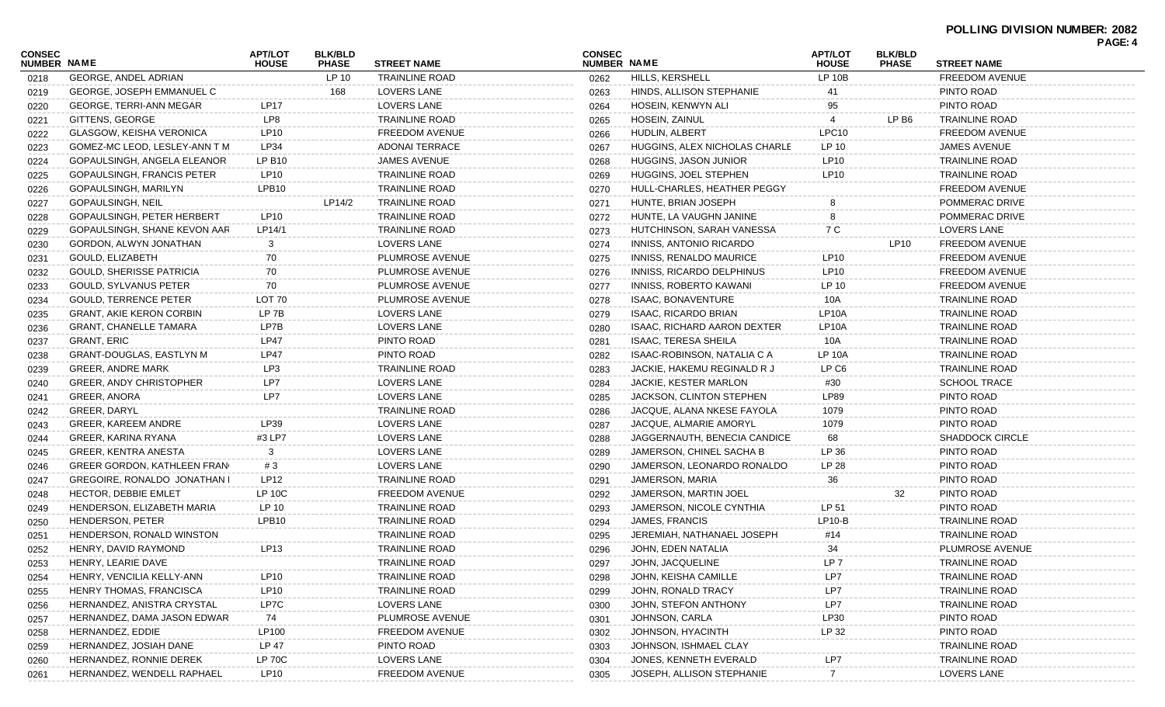| <b>CONSEC</b><br>NUMBER NAME |                                     | <b>APT/LOT</b><br><b>HOUSE</b> | <b>BLK/BLD</b><br><b>PHASE</b> | <b>STREET NAME</b>    | <b>CONSEC</b><br>NUMBER NAME |                                  | <b>APT/LOT</b><br><b>HOUSE</b> | <b>BLK/BLD</b><br><b>PHASE</b> | <b>STREET NAME</b>     |  |
|------------------------------|-------------------------------------|--------------------------------|--------------------------------|-----------------------|------------------------------|----------------------------------|--------------------------------|--------------------------------|------------------------|--|
| 0218                         | <b>GEORGE, ANDEL ADRIAN</b>         |                                | LP 10                          | <b>TRAINLINE ROAD</b> | 0262                         | HILLS, KERSHELL                  | LP 10B                         |                                | <b>FREEDOM AVENUE</b>  |  |
| 0219                         | <b>GEORGE, JOSEPH EMMANUEL C</b>    |                                | 168                            | LOVERS LANE           | 0263                         | HINDS, ALLISON STEPHANIE         |                                |                                | PINTO ROAD             |  |
| 0220                         | GEORGE, TERRI-ANN MEGAR             | <b>LP17</b>                    |                                | LOVERS LANE           | 0264                         | HOSEIN, KENWYN ALI               | 95                             |                                | PINTO ROAD             |  |
| 0221                         | GITTENS, GEORGE                     | LP8                            |                                | <b>TRAINLINE ROAD</b> | 0265                         | <b>HOSEIN, ZAINUL</b>            |                                | LP B6                          | <b>TRAINLINE ROAD</b>  |  |
| 0222                         | <b>GLASGOW, KEISHA VERONICA</b>     | LP10                           |                                | <b>FREEDOM AVENUE</b> | 0266                         | HUDLIN, ALBERT                   | LPC <sub>10</sub>              |                                | <b>FREEDOM AVENUE</b>  |  |
| 0223                         | GOMEZ-MC LEOD, LESLEY-ANN T M       | LP34                           |                                | <b>ADONAI TERRACE</b> | 0267                         | HUGGINS, ALEX NICHOLAS CHARLE    | LP 10                          |                                | <b>JAMES AVENUE</b>    |  |
| 0224                         | GOPAULSINGH, ANGELA ELEANOR         | <b>LP B10</b>                  |                                | <b>JAMES AVENUE</b>   | 0268                         | HUGGINS, JASON JUNIOR            | LP10                           |                                | <b>TRAINLINE ROAD</b>  |  |
| 0225                         | <b>GOPAULSINGH, FRANCIS PETER</b>   | LP10                           |                                | <b>TRAINLINE ROAD</b> | 0269                         | HUGGINS, JOEL STEPHEN            | LP10                           |                                | TRAINLINE ROAD         |  |
| 0226                         | GOPAULSINGH, MARILYN                | LPB <sub>10</sub>              |                                | <b>TRAINLINE ROAD</b> | 0270                         | HULL-CHARLES, HEATHER PEGGY      |                                |                                | FREEDOM AVENUE         |  |
| 0227                         | <b>GOPAULSINGH, NEIL</b>            |                                | LP14/2                         | <b>TRAINLINE ROAD</b> | 0271                         | HUNTE, BRIAN JOSEPH              |                                |                                | POMMERAC DRIVE         |  |
| 0228                         | <b>GOPAULSINGH, PETER HERBERT</b>   | LP10                           |                                | <b>TRAINLINE ROAD</b> | 0272                         | HUNTE, LA VAUGHN JANINE          |                                |                                | POMMERAC DRIVE         |  |
| 0229                         | GOPAULSINGH, SHANE KEVON AAR        | LP14/1                         |                                | <b>TRAINLINE ROAD</b> | 0273                         | HUTCHINSON, SARAH VANESSA        | 7 C                            |                                | <b>LOVERS LANE</b>     |  |
| 0230                         | GORDON, ALWYN JONATHAN              | 3                              |                                | LOVERS LANE           | 0274                         | INNISS, ANTONIO RICARDO          |                                | LP10                           | <b>FREEDOM AVENUE</b>  |  |
| 0231                         | GOULD, ELIZABETH                    | 70                             |                                | PLUMROSE AVENUE       | 0275                         | INNISS, RENALDO MAURICE          | LP10                           |                                | <b>FREEDOM AVENUE</b>  |  |
| 0232                         | <b>GOULD, SHERISSE PATRICIA</b>     | 70                             |                                | PLUMROSE AVENUE       | 0276                         | <b>INNISS, RICARDO DELPHINUS</b> | LP10                           |                                | <b>FREEDOM AVENUE</b>  |  |
| 0233                         | <b>GOULD, SYLVANUS PETER</b>        | 70                             |                                | PLUMROSE AVENUE       | 0277                         | <b>INNISS, ROBERTO KAWANI</b>    | LP 10                          |                                | <b>FREEDOM AVENUE</b>  |  |
| 0234                         | <b>GOULD, TERRENCE PETER</b>        | LOT 70                         |                                | PLUMROSE AVENUE       | 0278                         | ISAAC, BONAVENTURE               | 10A                            |                                | <b>TRAINLINE ROAD</b>  |  |
| 0235                         | <b>GRANT, AKIE KERON CORBIN</b>     | LP 7B                          |                                | LOVERS LANE           | 0279                         | <b>ISAAC, RICARDO BRIAN</b>      | LP <sub>10</sub> A             |                                | <b>TRAINLINE ROAD</b>  |  |
| 0236                         | <b>GRANT, CHANELLE TAMARA</b>       | LP7B                           |                                | LOVERS LANE           | 0280                         | ISAAC, RICHARD AARON DEXTER      | LP <sub>10</sub> A             |                                | <b>TRAINLINE ROAD</b>  |  |
| 0237                         | GRANT, ERIC                         | <b>LP47</b>                    |                                | PINTO ROAD            | 0281                         | <b>ISAAC, TERESA SHEILA</b>      | 10A                            |                                | <b>TRAINLINE ROAD</b>  |  |
| 0238                         | <b>GRANT-DOUGLAS, EASTLYN M</b>     | <b>LP47</b>                    |                                | PINTO ROAD            | 0282                         | ISAAC-ROBINSON, NATALIA C A      | <b>LP 10A</b>                  |                                | <b>TRAINLINE ROAD</b>  |  |
| 0239                         | <b>GREER, ANDRE MARK</b>            | LP3                            |                                | <b>TRAINLINE ROAD</b> | 0283                         | JACKIE. HAKEMU REGINALD R J      | LP C <sub>6</sub>              |                                | <b>TRAINLINE ROAD</b>  |  |
| 0240                         | <b>GREER, ANDY CHRISTOPHER</b>      | LP7                            |                                | LOVERS LANE           | 0284                         | JACKIE, KESTER MARLON            | #30                            |                                | <b>SCHOOL TRACE</b>    |  |
| 0241                         | GREER, ANORA                        | LP7                            |                                | LOVERS LANE           | 0285                         | JACKSON, CLINTON STEPHEN         | LP89                           |                                | PINTO ROAD             |  |
| 0242                         | <b>GREER, DARYL</b>                 |                                |                                | <b>TRAINLINE ROAD</b> | 0286                         | JACQUE, ALANA NKESE FAYOLA       | 1079                           |                                | PINTO ROAD             |  |
| 0243                         | <b>GREER, KAREEM ANDRE</b>          | LP39                           |                                | LOVERS LANE           | 0287                         | JACQUE, ALMARIE AMORYL           | 1079                           |                                | PINTO ROAD             |  |
| 0244                         | GREER, KARINA RYANA                 | #3 LP7                         |                                | LOVERS LANE           | 0288                         | JAGGERNAUTH, BENECIA CANDICE     | 68                             |                                | <b>SHADDOCK CIRCLE</b> |  |
| 0245                         | GREER, KENTRA ANESTA                | 3                              |                                | LOVERS LANE           | 0289                         | JAMERSON, CHINEL SACHA B         | LP 36                          |                                | PINTO ROAD             |  |
| 0246                         | <b>GREER GORDON, KATHLEEN FRAN</b>  | # $3$                          |                                | LOVERS LANE           | 0290                         | JAMERSON, LEONARDO RONALDO       | LP 28                          |                                | PINTO ROAD             |  |
| 0247                         | <b>GREGOIRE, RONALDO JONATHAN I</b> | <b>LP12</b>                    |                                | <b>TRAINLINE ROAD</b> | 0291                         | JAMERSON, MARIA                  | 36                             |                                | PINTO ROAD             |  |
| 0248                         | <b>HECTOR, DEBBIE EMLET</b>         | <b>LP 10C</b>                  |                                | <b>FREEDOM AVENUE</b> | 0292                         | JAMERSON, MARTIN JOEL            |                                | 32                             | PINTO ROAD             |  |
| 0249                         | HENDERSON, ELIZABETH MARIA          | LP 10                          |                                | <b>TRAINLINE ROAD</b> | 0293                         | JAMERSON, NICOLE CYNTHIA         | LP 51                          |                                | PINTO ROAD             |  |
| 0250                         | <b>HENDERSON, PETER</b>             | LPB <sub>10</sub>              |                                | <b>TRAINLINE ROAD</b> | 0294                         | JAMES, FRANCIS                   | $LP10-B$                       |                                | <b>TRAINLINE ROAD</b>  |  |
| 0251                         | HENDERSON, RONALD WINSTON           |                                |                                | <b>TRAINLINE ROAD</b> | 0295                         | JEREMIAH, NATHANAEL JOSEPH       | #14                            |                                | TRAINLINE ROAD         |  |
| 0252                         | HENRY, DAVID RAYMOND                | LP13                           |                                | <b>TRAINLINE ROAD</b> | 0296                         | JOHN, EDEN NATALIA               | 34                             |                                | PLUMROSE AVENUE        |  |
| 0253                         | HENRY, LEARIE DAVE                  |                                |                                | TRAINLINE ROAD        | 0297                         | JOHN, JACQUELINE                 | LP 7                           |                                | TRAINLINE ROAD         |  |
| 0254                         | HENRY, VENCILIA KELLY-ANN           | LP10                           |                                | <b>TRAINLINE ROAD</b> | 0298                         | JOHN, KEISHA CAMILLE             | LP7                            |                                | <b>TRAINLINE ROAD</b>  |  |
| 0255                         | <b>HENRY THOMAS, FRANCISCA</b>      | <b>LP10</b>                    |                                | <b>TRAINLINE ROAD</b> | 0299                         | JOHN, RONALD TRACY               | LP7                            |                                | <b>TRAINLINE ROAD</b>  |  |
| 0256                         | HERNANDEZ, ANISTRA CRYSTAL          | LP7C                           |                                | LOVERS LANE           | 0300                         | JOHN, STEFON ANTHONY             | LP7                            |                                | <b>TRAINLINE ROAD</b>  |  |
| 0257                         | HERNANDEZ, DAMA JASON EDWAR         | 74                             |                                | PLUMROSE AVENUE       | 0301                         | JOHNSON, CARLA                   | LP30                           |                                | PINTO ROAD             |  |
| 0258                         | HERNANDEZ, EDDIE                    | LP100                          |                                | FREEDOM AVENUE        | 0302                         | JOHNSON, HYACINTH                | LP 32                          |                                | PINTO ROAD             |  |
| 0259                         | HERNANDEZ, JOSIAH DANE              | LP 47                          |                                | PINTO ROAD            | 0303                         | JOHNSON, ISHMAEL CLAY            |                                |                                | <b>TRAINLINE ROAD</b>  |  |
| 0260                         | HERNANDEZ, RONNIE DEREK             | <b>LP 70C</b>                  |                                | <b>LOVERS LANE</b>    | 0304                         | JONES, KENNETH EVERALD           | LP7                            |                                | <b>TRAINLINE ROAD</b>  |  |
| 0261                         | HERNANDEZ, WENDELL RAPHAEL          | <b>LP10</b>                    |                                | FREEDOM AVENUE        | 0305                         | JOSEPH, ALLISON STEPHANIE        |                                |                                | <b>LOVERS LANE</b>     |  |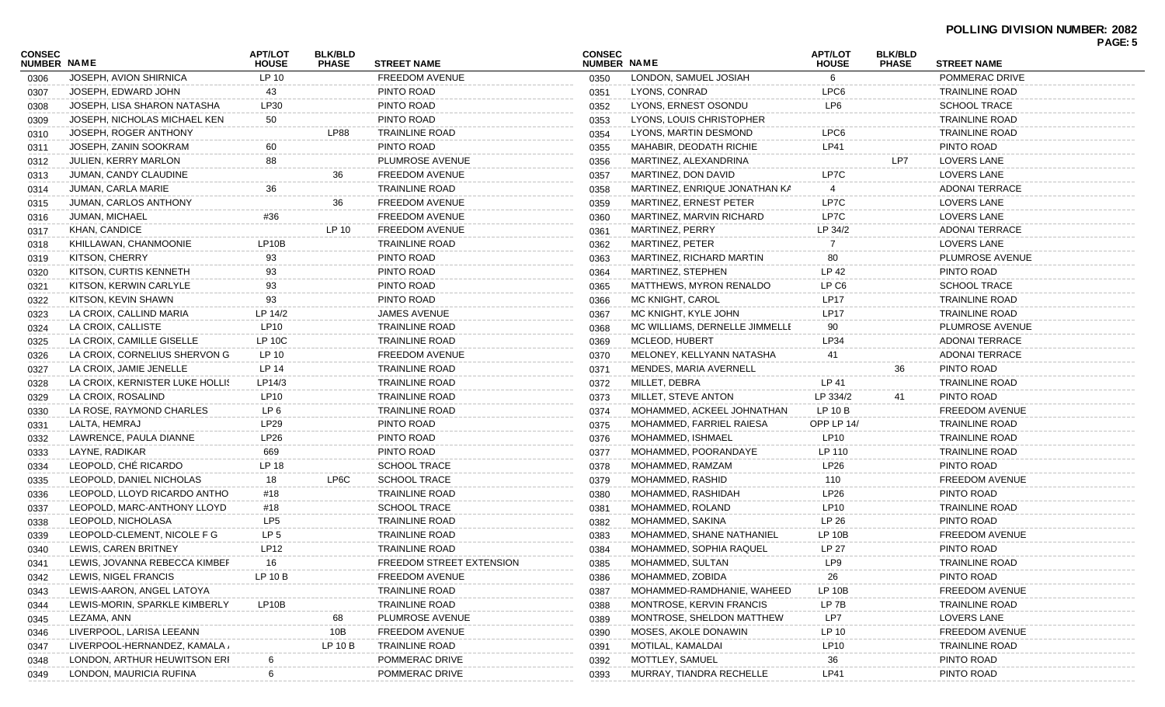| CONSEC<br>NUMBER NAME |                                 | <b>APT/LOT</b><br><b>HOUSE</b> | <b>BLK/BLD</b><br><b>PHASE</b> | <b>STREET NAME</b>       | <b>CONSEC</b><br>NUMBER NAME |                                | <b>APT/LOT</b><br><b>HOUSE</b> | <b>BLK/BLD</b><br><b>PHASE</b> | <b>STREET NAME</b>    | <b>PAGE: 5</b> |
|-----------------------|---------------------------------|--------------------------------|--------------------------------|--------------------------|------------------------------|--------------------------------|--------------------------------|--------------------------------|-----------------------|----------------|
| 0306                  | JOSEPH, AVION SHIRNICA          | LP 10                          |                                | <b>FREEDOM AVENUE</b>    | 0350                         | LONDON, SAMUEL JOSIAH          | 6                              |                                | POMMERAC DRIVE        |                |
| 0307                  | JOSEPH, EDWARD JOHN             | 43                             |                                | PINTO ROAD               | 0351                         | LYONS, CONRAD                  | LPC6                           |                                | <b>TRAINLINE ROAD</b> |                |
| 0308                  | JOSEPH, LISA SHARON NATASHA     | LP30                           |                                | PINTO ROAD               | 0352                         | LYONS, ERNEST OSONDU           | LP <sub>6</sub>                |                                | <b>SCHOOL TRACE</b>   |                |
| 0309                  | JOSEPH, NICHOLAS MICHAEL KEN    | 50                             |                                | PINTO ROAD               | 0353                         | LYONS, LOUIS CHRISTOPHER       |                                |                                | <b>TRAINLINE ROAD</b> |                |
| 0310                  | JOSEPH, ROGER ANTHONY           |                                | <b>LP88</b>                    | <b>TRAINLINE ROAD</b>    | 0354                         | LYONS, MARTIN DESMOND          | LPC6                           |                                | <b>TRAINLINE ROAD</b> |                |
| 0311                  | JOSEPH, ZANIN SOOKRAM           | 60                             |                                | PINTO ROAD               | 0355                         | MAHABIR, DEODATH RICHIE        | <b>LP41</b>                    |                                | PINTO ROAD            |                |
| 0312                  | <b>JULIEN, KERRY MARLON</b>     | 88                             |                                | PLUMROSE AVENUE          | 0356                         | MARTINEZ, ALEXANDRINA          |                                | LP7                            | LOVERS LANE           |                |
| 0313                  | JUMAN, CANDY CLAUDINE           |                                | 36                             | <b>FREEDOM AVENUE</b>    | 0357                         | MARTINEZ, DON DAVID            | LP7C                           |                                | LOVERS LANE           |                |
| 0314                  | JUMAN, CARLA MARIE              | 36                             |                                | <b>TRAINLINE ROAD</b>    | 0358                         | MARTINEZ, ENRIQUE JONATHAN KA  |                                |                                | <b>ADONAI TERRACE</b> |                |
| 0315                  | JUMAN, CARLOS ANTHONY           |                                | 36                             | FREEDOM AVENUE           | 0359                         | MARTINEZ, ERNEST PETER         | LP7C                           |                                | <b>LOVERS LANE</b>    |                |
| 0316                  | <b>JUMAN, MICHAEL</b>           | #36                            |                                | <b>FREEDOM AVENUE</b>    | 0360                         | MARTINEZ, MARVIN RICHARD       | LP7C                           |                                | LOVERS LANE           |                |
| 0317                  | KHAN, CANDICE                   |                                | LP 10                          | <b>FREEDOM AVENUE</b>    | 0361                         | <b>MARTINEZ, PERRY</b>         | LP 34/2                        |                                | <b>ADONAI TERRACE</b> |                |
| 0318                  | KHILLAWAN, CHANMOONIE           | LP10B                          |                                | <b>TRAINLINE ROAD</b>    | 0362                         | MARTINEZ, PETER                |                                |                                | LOVERS LANE           |                |
| 0319                  | KITSON, CHERRY                  | 93                             |                                | PINTO ROAD               | 0363                         | MARTINEZ, RICHARD MARTIN       | 80                             |                                | PLUMROSE AVENUE       |                |
| 0320                  | KITSON, CURTIS KENNETH          | 93                             |                                | PINTO ROAD               | 0364                         | MARTINEZ, STEPHEN              | LP 42                          |                                | PINTO ROAD            |                |
| 0321                  | KITSON, KERWIN CARLYLE          | 93                             |                                | PINTO ROAD               | 0365                         | MATTHEWS, MYRON RENALDO        | LP C <sub>6</sub>              |                                | <b>SCHOOL TRACE</b>   |                |
| 0322                  | KITSON, KEVIN SHAWN             | 93                             |                                | PINTO ROAD               | 0366                         | MC KNIGHT, CAROL               | <b>LP17</b>                    |                                | <b>TRAINLINE ROAD</b> |                |
| 0323                  | LA CROIX, CALLIND MARIA         | LP 14/2                        |                                | <b>JAMES AVENUE</b>      | 0367                         | MC KNIGHT, KYLE JOHN           | <b>LP17</b>                    |                                | <b>TRAINLINE ROAD</b> |                |
| 0324                  | LA CROIX, CALLISTE              | LP10                           |                                | <b>TRAINLINE ROAD</b>    | 0368                         | MC WILLIAMS, DERNELLE JIMMELLE | 90                             |                                | PLUMROSE AVENUE       |                |
| 0325                  | LA CROIX, CAMILLE GISELLE       | <b>LP 10C</b>                  |                                | <b>TRAINLINE ROAD</b>    | 0369                         | MCLEOD, HUBERT                 | LP34                           |                                | <b>ADONAI TERRACE</b> |                |
| 0326                  | LA CROIX, CORNELIUS SHERVON G   | LP 10                          |                                | <b>FREEDOM AVENUE</b>    | 0370                         | MELONEY, KELLYANN NATASHA      | 41                             |                                | <b>ADONAI TERRACE</b> |                |
| 0327                  | LA CROIX, JAMIE JENELLE         | LP 14                          |                                | <b>TRAINLINE ROAD</b>    | 0371                         | <b>MENDES, MARIA AVERNELL</b>  |                                | 36                             | PINTO ROAD            |                |
| 0328                  | LA CROIX, KERNISTER LUKE HOLLIS | LP14/3                         |                                | <b>TRAINLINE ROAD</b>    | 0372                         | MILLET, DEBRA                  | LP 41                          |                                | <b>TRAINLINE ROAD</b> |                |
| 0329                  | LA CROIX, ROSALIND              | LP10                           |                                | <b>TRAINLINE ROAD</b>    | 0373                         | MILLET, STEVE ANTON            | LP 334/2                       | 41                             | PINTO ROAD            |                |
| 0330                  | LA ROSE, RAYMOND CHARLES        | LP 6                           |                                | <b>TRAINLINE ROAD</b>    | 0374                         | MOHAMMED, ACKEEL JOHNATHAN     | LP 10 B                        |                                | <b>FREEDOM AVENUE</b> |                |
| 0331                  | LALTA, HEMRAJ                   | LP29                           |                                | PINTO ROAD               | 0375                         | MOHAMMED, FARRIEL RAIESA       | OPP LP 14/                     |                                | <b>TRAINLINE ROAD</b> |                |
| 0332                  | LAWRENCE, PAULA DIANNE          | LP26                           |                                | PINTO ROAD               | 0376                         | MOHAMMED, ISHMAEL              | LP10                           |                                | <b>TRAINLINE ROAD</b> |                |
| 0333                  | LAYNE, RADIKAR                  | 669                            |                                | PINTO ROAD               | 0377                         | MOHAMMED, POORANDAYE           | LP 110                         |                                | <b>TRAINLINE ROAD</b> |                |
| 0334                  | LEOPOLD, CHÉ RICARDO            | LP 18                          |                                | <b>SCHOOL TRACE</b>      | 0378                         | MOHAMMED, RAMZAM               | LP26                           |                                | PINTO ROAD            |                |
| 0335                  | LEOPOLD, DANIEL NICHOLAS        | 18                             | LP6C                           | <b>SCHOOL TRACE</b>      | 0379                         | MOHAMMED, RASHID               | 110                            |                                | <b>FREEDOM AVENUE</b> |                |
| 0336                  | LEOPOLD, LLOYD RICARDO ANTHO    | #18                            |                                | <b>TRAINLINE ROAD</b>    | 0380                         | MOHAMMED, RASHIDAH             | LP26                           |                                | PINTO ROAD            |                |
| 0337                  | LEOPOLD, MARC-ANTHONY LLOYD     | #18                            |                                | <b>SCHOOL TRACE</b>      | 0381                         | MOHAMMED, ROLAND               | LP10                           |                                | <b>TRAINLINE ROAD</b> |                |
| 0338                  | LEOPOLD, NICHOLASA              | LP <sub>5</sub>                |                                | <b>TRAINLINE ROAD</b>    | 0382                         | MOHAMMED, SAKINA               | LP 26                          |                                | PINTO ROAD            |                |
| 0339                  | LEOPOLD-CLEMENT, NICOLE F G     | LP <sub>5</sub>                |                                | <b>TRAINLINE ROAD</b>    | 0383                         | MOHAMMED, SHANE NATHANIEL      | LP 10B                         |                                | <b>FREEDOM AVENUE</b> |                |
| 0340                  | LEWIS, CAREN BRITNEY            | LP12                           |                                | <b>TRAINLINE ROAD</b>    | 0384                         | MOHAMMED, SOPHIA RAQUEL        | LP 27                          |                                | PINTO ROAD            |                |
| 0341                  | LEWIS, JOVANNA REBECCA KIMBEF   | 16                             |                                | FREEDOM STREET EXTENSION | 0385                         | MOHAMMED, SULTAN               | LP9                            |                                | <b>TRAINLINE ROAD</b> |                |
| 0342                  | LEWIS, NIGEL FRANCIS            | LP 10 B                        |                                | FREEDOM AVENUE           | 0386                         | MOHAMMED, ZOBIDA               | 26                             |                                | PINTO ROAD            |                |
| 0343                  | LEWIS-AARON, ANGEL LATOYA       |                                |                                | <b>TRAINLINE ROAD</b>    | 0387                         | MOHAMMED-RAMDHANIE, WAHEED     | <b>LP 10B</b>                  |                                | <b>FREEDOM AVENUE</b> |                |
| 0344                  | LEWIS-MORIN, SPARKLE KIMBERLY   | LP10B                          |                                | <b>TRAINLINE ROAD</b>    | 0388                         | MONTROSE, KERVIN FRANCIS       | LP 7B                          |                                | <b>TRAINLINE ROAD</b> |                |
| 0345                  | LEZAMA, ANN                     |                                | 68                             | PLUMROSE AVENUE          | 0389                         | MONTROSE, SHELDON MATTHEW      | LP7                            |                                | LOVERS LANE           |                |
| 0346                  | LIVERPOOL, LARISA LEEANN        |                                | 10B                            | <b>FREEDOM AVENUE</b>    | 0390                         | MOSES, AKOLE DONAWIN           | LP 10                          |                                | <b>FREEDOM AVENUE</b> |                |
| 0347                  | LIVERPOOL-HERNANDEZ, KAMALA ,   |                                | LP 10 B                        | <b>TRAINLINE ROAD</b>    | 0391                         | MOTILAL, KAMALDAI              | LP10                           |                                | <b>TRAINLINE ROAD</b> |                |
| 0348                  | LONDON, ARTHUR HEUWITSON ERI    |                                |                                | POMMERAC DRIVE           | 0392                         | MOTTLEY, SAMUEL                | 36                             |                                | PINTO ROAD            |                |
| 0349                  | LONDON, MAURICIA RUFINA         | 6                              |                                | POMMERAC DRIVE           | 0393                         | MURRAY, TIANDRA RECHELLE       | <b>LP41</b>                    |                                | PINTO ROAD            |                |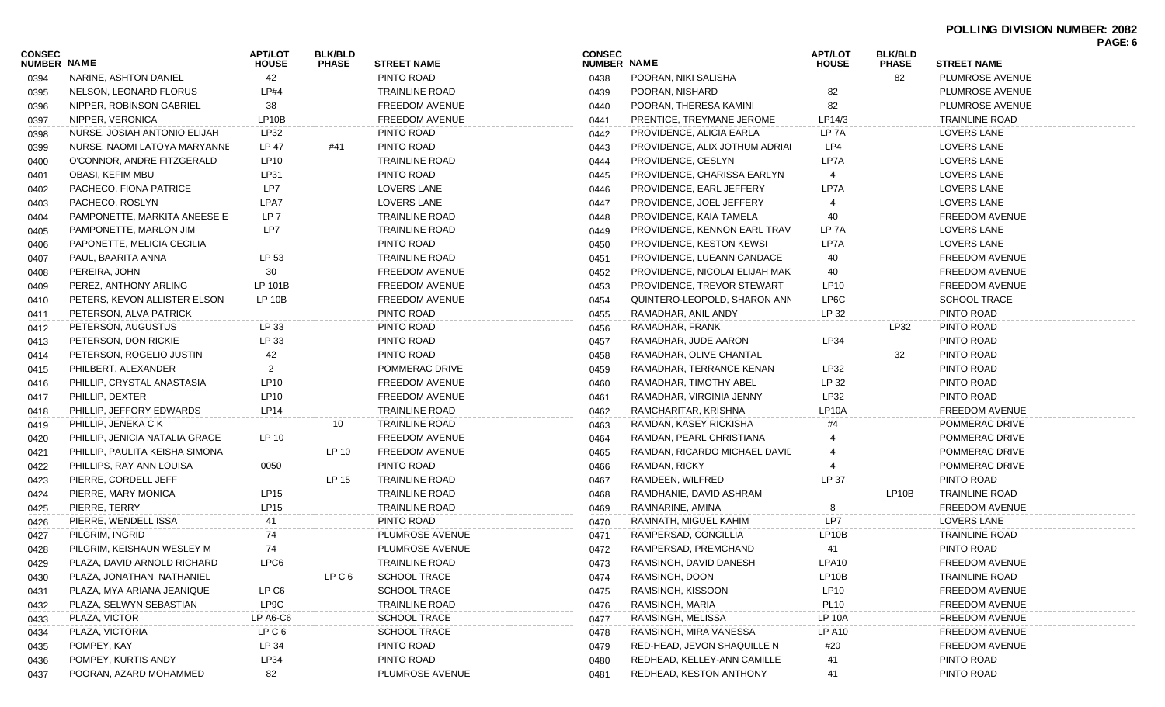## **POLLING DIVISION NUMBER: 2082 PAGE: 6**

|                              |                                |                                |                                |                       |                              |                                 |                         |                                |                       | <b>FAUL.</b> 0 |
|------------------------------|--------------------------------|--------------------------------|--------------------------------|-----------------------|------------------------------|---------------------------------|-------------------------|--------------------------------|-----------------------|----------------|
| CONSEC<br><b>NUMBER NAME</b> |                                | <b>APT/LOT</b><br><b>HOUSE</b> | <b>BLK/BLD</b><br><b>PHASE</b> | <b>STREET NAME</b>    | <b>CONSEC</b><br>NUMBER NAME |                                 | APT/LOT<br><b>HOUSE</b> | <b>BLK/BLD</b><br><b>PHASE</b> | <b>STREET NAME</b>    |                |
| 0394                         | NARINE, ASHTON DANIEL          | 42                             |                                | PINTO ROAD            | 0438                         | POORAN, NIKI SALISHA            |                         | 82                             | PLUMROSE AVENUE       |                |
| 0395                         | NELSON, LEONARD FLORUS         | LP#4                           |                                | TRAINLINE ROAD        | 0439                         | POORAN, NISHARD                 | 82                      |                                | PLUMROSE AVENUE       |                |
| 0396                         | NIPPER, ROBINSON GABRIEL       | 38                             |                                | FREEDOM AVENUE        | 0440                         | POORAN, THERESA KAMINI          | 82                      |                                | PLUMROSE AVENUE       |                |
| 0397                         | NIPPER, VERONICA               | LP10B                          |                                | <b>FREEDOM AVENUE</b> | 0441                         | PRENTICE, TREYMANE JEROME       | LP14/3                  |                                | <b>TRAINLINE ROAD</b> |                |
| 0398                         | NURSE, JOSIAH ANTONIO ELIJAH   | LP32                           |                                | PINTO ROAD            | 0442                         | PROVIDENCE, ALICIA EARLA        | LP 7A                   |                                | LOVERS LANE           |                |
| 0399                         | NURSE, NAOMI LATOYA MARYANNE   | LP 47                          | #41                            | PINTO ROAD            | 0443                         | PROVIDENCE, ALIX JOTHUM ADRIAI  | LP4                     |                                | LOVERS LANE           |                |
| 0400                         | O'CONNOR, ANDRE FITZGERALD     | LP10                           |                                | TRAINLINE ROAD        | 0444                         | PROVIDENCE, CESLYN              | LP7A                    |                                | <b>LOVERS LANE</b>    |                |
| 0401                         | OBASI, KEFIM MBU               | LP31                           |                                | PINTO ROAD            | 0445                         | PROVIDENCE, CHARISSA EARLYN     |                         |                                | <b>LOVERS LANE</b>    |                |
| 0402                         | PACHECO, FIONA PATRICE         | LP7                            |                                | LOVERS LANE           | 0446                         | PROVIDENCE, EARL JEFFERY        | LP7A                    |                                | <b>LOVERS LANE</b>    |                |
| 0403                         | PACHECO, ROSLYN                | LPA7                           |                                | LOVERS LANE           | 0447                         | PROVIDENCE, JOEL JEFFERY        |                         |                                | LOVERS LANE           |                |
| 0404                         | PAMPONETTE, MARKITA ANEESE E   | LP 7                           |                                | <b>TRAINLINE ROAD</b> | 0448                         | PROVIDENCE, KAIA TAMELA         | 40                      |                                | FREEDOM AVENUE        |                |
| 0405                         | PAMPONETTE, MARLON JIM         | LP7                            |                                | TRAINLINE ROAD        | 0449                         | PROVIDENCE, KENNON EARL TRAV    | LP 7A                   |                                | <b>LOVERS LANE</b>    |                |
| 0406                         | PAPONETTE, MELICIA CECILIA     |                                |                                | PINTO ROAD            | 0450                         | <b>PROVIDENCE, KESTON KEWSI</b> | LP7A                    |                                | LOVERS LANE           |                |
| 0407                         | PAUL, BAARITA ANNA             | LP 53                          |                                | <b>TRAINLINE ROAD</b> | 0451                         | PROVIDENCE, LUEANN CANDACE      | 40                      |                                | FREEDOM AVENUE        |                |
| 0408                         | PEREIRA, JOHN                  | 30                             |                                | <b>FREEDOM AVENUE</b> | 0452                         | PROVIDENCE, NICOLAI ELIJAH MAK  | 40                      |                                | FREEDOM AVENUE        |                |
| 0409                         | PEREZ, ANTHONY ARLING          | LP 101B                        |                                | <b>FREEDOM AVENUE</b> | 0453                         | PROVIDENCE, TREVOR STEWART      | LP10                    |                                | FREEDOM AVENUE        |                |
| 0410                         | PETERS, KEVON ALLISTER ELSON   | LP 10B                         |                                | <b>FREEDOM AVENUE</b> | 0454                         | QUINTERO-LEOPOLD, SHARON ANN    | LP6C                    |                                | <b>SCHOOL TRACE</b>   |                |
| 0411                         | PETERSON, ALVA PATRICK         |                                |                                | PINTO ROAD            | 0455                         | RAMADHAR, ANIL ANDY             | LP 32                   |                                | PINTO ROAD            |                |
| 0412                         | PETERSON, AUGUSTUS             | LP 33                          |                                | PINTO ROAD            | 0456                         | RAMADHAR, FRANK                 |                         | LP32                           | PINTO ROAD            |                |
| 0413                         | PETERSON, DON RICKIE           | LP 33                          |                                | PINTO ROAD            | 0457                         | RAMADHAR, JUDE AARON            | LP34                    |                                | PINTO ROAD            |                |
| 0414                         | PETERSON, ROGELIO JUSTIN       | 42                             |                                | PINTO ROAD            | 0458                         | RAMADHAR, OLIVE CHANTAL         |                         | 32                             | PINTO ROAD            |                |
| 0415                         | PHILBERT, ALEXANDER            | 2                              |                                | POMMERAC DRIVE        | 0459                         | RAMADHAR, TERRANCE KENAN        | LP32                    |                                | PINTO ROAD            |                |
| 0416                         | PHILLIP, CRYSTAL ANASTASIA     | LP10                           |                                | <b>FREEDOM AVENUE</b> | 0460                         | RAMADHAR, TIMOTHY ABEL          | LP 32                   |                                | PINTO ROAD            |                |
| 0417                         | PHILLIP, DEXTER                | LP10                           |                                | <b>FREEDOM AVENUE</b> | 0461                         | RAMADHAR, VIRGINIA JENNY        | LP32                    |                                | PINTO ROAD            |                |
| 0418                         | PHILLIP, JEFFORY EDWARDS       | LP14                           |                                | <b>TRAINLINE ROAD</b> | 0462                         | RAMCHARITAR, KRISHNA            | LP10A                   |                                | FREEDOM AVENUE        |                |
| 0419                         | PHILLIP, JENEKA C K            |                                | 10                             | <b>TRAINLINE ROAD</b> | 0463                         | RAMDAN, KASEY RICKISHA          |                         |                                | POMMERAC DRIVE        |                |
| 0420                         | PHILLIP, JENICIA NATALIA GRACE | LP 10                          |                                | FREEDOM AVENUE        | 0464                         | RAMDAN, PEARL CHRISTIANA        |                         |                                | POMMERAC DRIVE        |                |
| 0421                         | PHILLIP, PAULITA KEISHA SIMONA |                                | LP 10                          | <b>FREEDOM AVENUE</b> | 0465                         | RAMDAN, RICARDO MICHAEL DAVIE   |                         |                                | POMMERAC DRIVE        |                |
| 0422                         | PHILLIPS, RAY ANN LOUISA       | 0050                           |                                | PINTO ROAD            | 0466                         | RAMDAN, RICKY                   |                         |                                | POMMERAC DRIVE        |                |
| 0423                         | PIERRE, CORDELL JEFF           |                                | LP 15                          | <b>TRAINLINE ROAD</b> | 0467                         | RAMDEEN, WILFRED                | LP 37                   |                                | PINTO ROAD            |                |
| 0424                         | PIERRE, MARY MONICA            | LP15                           |                                | TRAINLINE ROAD        | 0468                         | RAMDHANIE, DAVID ASHRAM         |                         | LP10B                          | <b>TRAINLINE ROAD</b> |                |
| 0425                         | PIERRE, TERRY                  | <b>LP15</b>                    |                                | TRAINLINE ROAD        | 0469                         | RAMNARINE, AMINA                |                         |                                | FREEDOM AVENUE        |                |
| 0426                         | PIERRE, WENDELL ISSA           | 41                             |                                | PINTO ROAD            | 0470                         | RAMNATH, MIGUEL KAHIM           | LP7                     |                                | LOVERS LANE           |                |
| 0427                         | PILGRIM, INGRID                | 74                             |                                | PLUMROSE AVENUE       | 0471                         | RAMPERSAD, CONCILLIA            | LP10B                   |                                | <b>TRAINLINE ROAD</b> |                |
| 0428                         | PILGRIM, KEISHAUN WESLEY M     | 74                             |                                | PLUMROSE AVENUE       | 0472                         | RAMPERSAD, PREMCHAND            | 41                      |                                | PINTO ROAD            |                |
| 0429                         | PLAZA, DAVID ARNOLD RICHARD    | LPC6                           |                                | TRAINLINE ROAD        | 0473                         | RAMSINGH, DAVID DANESH          | LPA10                   |                                | FREEDOM AVENUE        |                |
| 0430                         | PLAZA, JONATHAN NATHANIEL      |                                | LP C 6                         | <b>SCHOOL TRACE</b>   | 0474                         | RAMSINGH, DOON                  | LP10B                   |                                | <b>TRAINLINE ROAD</b> |                |
| 0431                         | PLAZA, MYA ARIANA JEANIQUE     | LP C6                          |                                | <b>SCHOOL TRACE</b>   | 0475                         | RAMSINGH, KISSOON               | LP <sub>10</sub>        |                                | <b>FREEDOM AVENUE</b> |                |
| 0432                         | PLAZA, SELWYN SEBASTIAN        | LP9C                           |                                | <b>TRAINLINE ROAD</b> | 0476                         | RAMSINGH, MARIA                 | <b>PL10</b>             |                                | FREEDOM AVENUE        |                |
| 0433                         | PLAZA, VICTOR                  | LP A6-C6                       |                                | <b>SCHOOL TRACE</b>   | 0477                         | RAMSINGH, MELISSA               | <b>LP 10A</b>           |                                | <b>FREEDOM AVENUE</b> |                |
| 0434                         | PLAZA, VICTORIA                | LP C 6                         |                                | <b>SCHOOL TRACE</b>   | 0478                         | RAMSINGH, MIRA VANESSA          | <b>LP A10</b>           |                                | <b>FREEDOM AVENUE</b> |                |
| 0435                         | POMPEY, KAY                    | LP 34                          |                                | PINTO ROAD            | 0479                         | RED-HEAD, JEVON SHAQUILLE N     | #20                     |                                | <b>FREEDOM AVENUE</b> |                |
| 0436                         | POMPEY, KURTIS ANDY            | LP34                           |                                | PINTO ROAD            | 0480                         | REDHEAD, KELLEY-ANN CAMILLE     | 41                      |                                | PINTO ROAD            |                |
| 0437                         | POORAN, AZARD MOHAMMED         | 82                             |                                | PLUMROSE AVENUE       | 0481                         | REDHEAD, KESTON ANTHONY         | 41                      |                                | PINTO ROAD            |                |
|                              |                                |                                |                                |                       |                              |                                 |                         |                                |                       |                |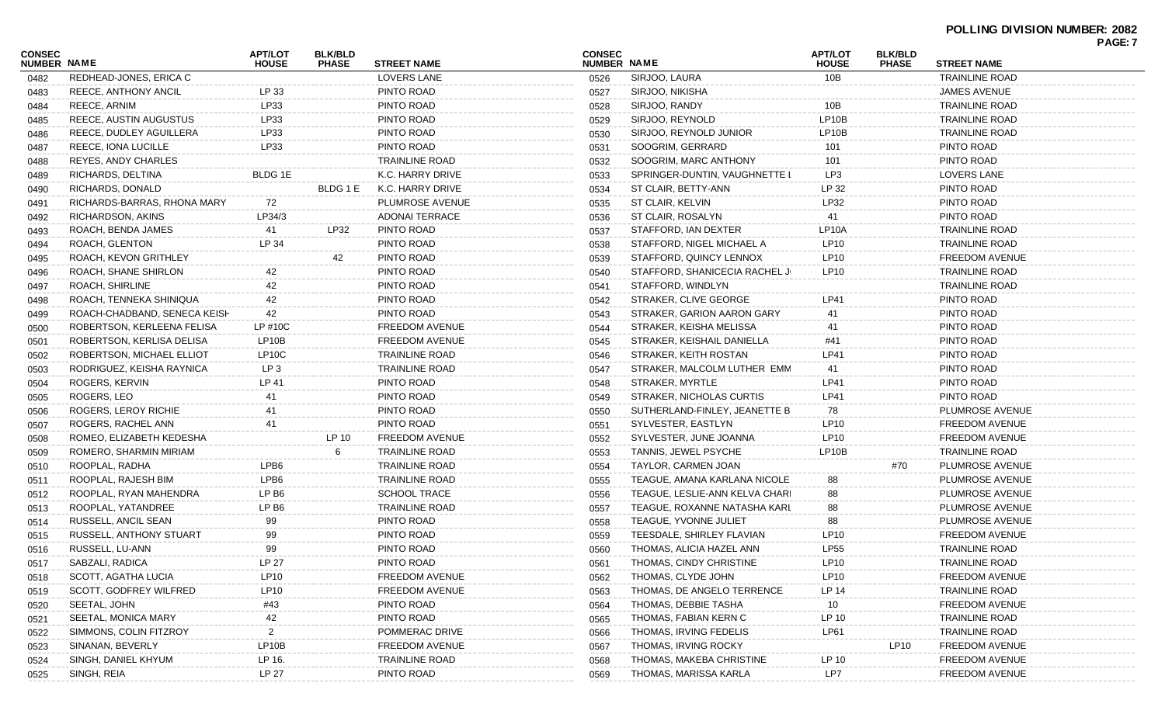|                              |                              |                                |                                |                       |                              |                                |                                |                                |                       | <b>FAGE.</b> 1 |
|------------------------------|------------------------------|--------------------------------|--------------------------------|-----------------------|------------------------------|--------------------------------|--------------------------------|--------------------------------|-----------------------|----------------|
| CONSEC<br><b>NUMBER NAME</b> |                              | <b>APT/LOT</b><br><b>HOUSE</b> | <b>BLK/BLD</b><br><b>PHASE</b> | <b>STREET NAME</b>    | <b>CONSEC</b><br>NUMBER NAME |                                | <b>APT/LOT</b><br><b>HOUSE</b> | <b>BLK/BLD</b><br><b>PHASE</b> | <b>STREET NAME</b>    |                |
| 0482                         | REDHEAD-JONES, ERICA C       |                                |                                | LOVERS LANE           | 0526                         | SIRJOO, LAURA                  | 10B                            |                                | <b>TRAINLINE ROAD</b> |                |
| 0483                         | REECE, ANTHONY ANCIL         | LP 33                          |                                | PINTO ROAD            | 0527                         | SIRJOO, NIKISHA                |                                |                                | <b>JAMES AVENUE</b>   |                |
| 0484                         | REECE, ARNIM                 | LP33                           |                                | PINTO ROAD            | 0528                         | SIRJOO, RANDY                  | 10B                            |                                | <b>TRAINLINE ROAD</b> |                |
| 0485                         | REECE, AUSTIN AUGUSTUS       | LP33                           |                                | PINTO ROAD            | 0529                         | SIRJOO, REYNOLD                | LP <sub>10</sub> B             |                                | TRAINLINE ROAD        |                |
| 0486                         | REECE, DUDLEY AGUILLERA      | LP33                           |                                | PINTO ROAD            | 0530                         | SIRJOO, REYNOLD JUNIOR         | LP10B                          |                                | TRAINLINE ROAD        |                |
| 0487                         | REECE, IONA LUCILLE          | LP33                           |                                | PINTO ROAD            | 0531                         | SOOGRIM, GERRARD               | 101                            |                                | PINTO ROAD            |                |
| 0488                         | REYES, ANDY CHARLES          |                                |                                | <b>TRAINLINE ROAD</b> | 0532                         | SOOGRIM, MARC ANTHONY          | 101                            |                                | PINTO ROAD            |                |
| 0489                         | RICHARDS, DELTINA            | BLDG 1E                        |                                | K.C. HARRY DRIVE      | 0533                         | SPRINGER-DUNTIN, VAUGHNETTE L  | LP3                            |                                | LOVERS LANE           |                |
| 0490                         | RICHARDS, DONALD             |                                | BLDG 1 E                       | K.C. HARRY DRIVE      | 0534                         | ST CLAIR, BETTY-ANN            | LP 32                          |                                | PINTO ROAD            |                |
| 0491                         | RICHARDS-BARRAS, RHONA MARY  | 72                             |                                | PLUMROSE AVENUE       | 0535                         | ST CLAIR, KELVIN               | LP32                           |                                | PINTO ROAD            |                |
| 0492                         | RICHARDSON, AKINS            | LP34/3                         |                                | <b>ADONAI TERRACE</b> | 0536                         | ST CLAIR, ROSALYN              | 41                             |                                | PINTO ROAD            |                |
| 0493                         | ROACH, BENDA JAMES           | 41                             | LP32                           | PINTO ROAD            | 0537                         | STAFFORD, IAN DEXTER           | LP10A                          |                                | TRAINLINE ROAD        |                |
| 0494                         | ROACH, GLENTON               | LP 34                          |                                | PINTO ROAD            | 0538                         | STAFFORD, NIGEL MICHAEL A      | LP10                           |                                | TRAINLINE ROAD        |                |
| 0495                         | ROACH, KEVON GRITHLEY        |                                | 42                             | PINTO ROAD            | 0539                         | STAFFORD, QUINCY LENNOX        | LP10                           |                                | <b>FREEDOM AVENUE</b> |                |
| 0496                         | ROACH, SHANE SHIRLON         | 42                             |                                | PINTO ROAD            | 0540                         | STAFFORD, SHANICECIA RACHEL JI | LP10                           |                                | <b>TRAINLINE ROAD</b> |                |
| 0497                         | ROACH, SHIRLINE              | 42                             |                                | PINTO ROAD            | 0541                         | STAFFORD, WINDLYN              |                                |                                | TRAINLINE ROAD        |                |
| 0498                         | ROACH, TENNEKA SHINIQUA      | 42                             |                                | PINTO ROAD            | 0542                         | STRAKER, CLIVE GEORGE          | LP41                           |                                | PINTO ROAD            |                |
| 0499                         | ROACH-CHADBAND, SENECA KEISH | 42                             |                                | PINTO ROAD            | 0543                         | STRAKER, GARION AARON GARY     | 41                             |                                | PINTO ROAD            |                |
| 0500                         | ROBERTSON, KERLEENA FELISA   | LP #10C                        |                                | <b>FREEDOM AVENUE</b> | 0544                         | STRAKER, KEISHA MELISSA        | 41                             |                                | PINTO ROAD            |                |
| 0501                         | ROBERTSON, KERLISA DELISA    | LP10B                          |                                | <b>FREEDOM AVENUE</b> | 0545                         | STRAKER, KEISHAIL DANIELLA     | #41                            |                                | PINTO ROAD            |                |
| 0502                         | ROBERTSON, MICHAEL ELLIOT    | LP10C                          |                                | <b>TRAINLINE ROAD</b> | 0546                         | STRAKER, KEITH ROSTAN          | LP41                           |                                | PINTO ROAD            |                |
| 0503                         | RODRIGUEZ, KEISHA RAYNICA    | LP 3                           |                                | <b>TRAINLINE ROAD</b> | 0547                         | STRAKER, MALCOLM LUTHER EMM    | 41                             |                                | PINTO ROAD            |                |
| 0504                         | ROGERS, KERVIN               | LP 41                          |                                | PINTO ROAD            | 0548                         | STRAKER, MYRTLE                | LP41                           |                                | PINTO ROAD            |                |
| 0505                         | ROGERS, LEO                  | 41                             |                                | PINTO ROAD            | 0549                         | STRAKER, NICHOLAS CURTIS       | LP41                           |                                | PINTO ROAD            |                |
| 0506                         | ROGERS, LEROY RICHIE         | 41                             |                                | PINTO ROAD            | 0550                         | SUTHERLAND-FINLEY, JEANETTE B  | 78                             |                                | PLUMROSE AVENUE       |                |
| 0507                         | ROGERS, RACHEL ANN           | 41                             |                                | PINTO ROAD            | 0551                         | SYLVESTER, EASTLYN             | LP10                           |                                | <b>FREEDOM AVENUE</b> |                |
| 0508                         | ROMEO, ELIZABETH KEDESHA     |                                | LP 10                          | <b>FREEDOM AVENUE</b> | 0552                         | SYLVESTER, JUNE JOANNA         | LP10                           |                                | <b>FREEDOM AVENUE</b> |                |
| 0509                         | ROMERO, SHARMIN MIRIAM       |                                |                                | <b>TRAINLINE ROAD</b> | 0553                         | TANNIS, JEWEL PSYCHE           | LP10B                          |                                | <b>TRAINLINE ROAD</b> |                |
| 0510                         | ROOPLAL, RADHA               | LPB6                           |                                | <b>TRAINLINE ROAD</b> | 0554                         | TAYLOR, CARMEN JOAN            |                                | #70                            | PLUMROSE AVENUE       |                |
| 0511                         | ROOPLAL, RAJESH BIM          | LPB6                           |                                | <b>TRAINLINE ROAD</b> | 0555                         | TEAGUE, AMANA KARLANA NICOLE   | 88                             |                                | PLUMROSE AVENUE       |                |
| 0512                         | ROOPLAL, RYAN MAHENDRA       | LP B <sub>6</sub>              |                                | <b>SCHOOL TRACE</b>   | 0556                         | TEAGUE, LESLIE-ANN KELVA CHARI | 88                             |                                | PLUMROSE AVENUE       |                |
| 0513                         | ROOPLAL, YATANDREE           | LP B <sub>6</sub>              |                                | <b>TRAINLINE ROAD</b> | 0557                         | TEAGUE, ROXANNE NATASHA KARL   | 88                             |                                | PLUMROSE AVENUE       |                |
| 0514                         | RUSSELL, ANCIL SEAN          | 99                             |                                | PINTO ROAD            | 0558                         | TEAGUE, YVONNE JULIET          | 88                             |                                | PLUMROSE AVENUE       |                |
| 0515                         | RUSSELL, ANTHONY STUART      | 99                             |                                | PINTO ROAD            | 0559                         | TEESDALE, SHIRLEY FLAVIAN      | LP10                           |                                | FREEDOM AVENUE        |                |
| 0516                         | RUSSELL, LU-ANN              | 99                             |                                | PINTO ROAD            | 0560                         | THOMAS, ALICIA HAZEL ANN       | LP55                           |                                | TRAINLINE ROAD        |                |
| 0517                         | SABZALI, RADICA              | <b>LP 27</b>                   |                                | PINTO ROAD            | 0561                         | THOMAS, CINDY CHRISTINE        | LP10                           |                                | TRAINLINE ROAD        |                |
| 0518                         | SCOTT, AGATHA LUCIA          | LP10                           |                                | <b>FREEDOM AVENUE</b> | 0562                         | THOMAS, CLYDE JOHN             | LP10                           |                                | <b>FREEDOM AVENUE</b> |                |
| 0519                         | SCOTT, GODFREY WILFRED       | LP10                           |                                | FREEDOM AVENUE        | 0563                         | THOMAS, DE ANGELO TERRENCE     | LP 14                          |                                | TRAINLINE ROAD        |                |
| 0520                         | SEETAL, JOHN                 | #43                            |                                | PINTO ROAD            | 0564                         | THOMAS, DEBBIE TASHA           | 10                             |                                | <b>FREEDOM AVENUE</b> |                |
| 0521                         | SEETAL, MONICA MARY          | 42                             |                                | PINTO ROAD            | 0565                         | THOMAS, FABIAN KERN C          | LP 10                          |                                | <b>TRAINLINE ROAD</b> |                |
| 0522                         | SIMMONS, COLIN FITZROY       | 2                              |                                | POMMERAC DRIVE        | 0566                         | THOMAS, IRVING FEDELIS         | LP61                           |                                | <b>TRAINLINE ROAD</b> |                |
| 0523                         | SINANAN, BEVERLY             | LP10B                          |                                | <b>FREEDOM AVENUE</b> | 0567                         | THOMAS, IRVING ROCKY           |                                | LP10                           | <b>FREEDOM AVENUE</b> |                |
| 0524                         | SINGH, DANIEL KHYUM          | LP 16.                         |                                | <b>TRAINLINE ROAD</b> | 0568                         | THOMAS, MAKEBA CHRISTINE       | LP 10                          |                                | <b>FREEDOM AVENUE</b> |                |
| 0525                         | SINGH, REIA                  | LP 27                          |                                | PINTO ROAD            | 0569                         | THOMAS, MARISSA KARLA          | LP7                            |                                | FREEDOM AVENUE        |                |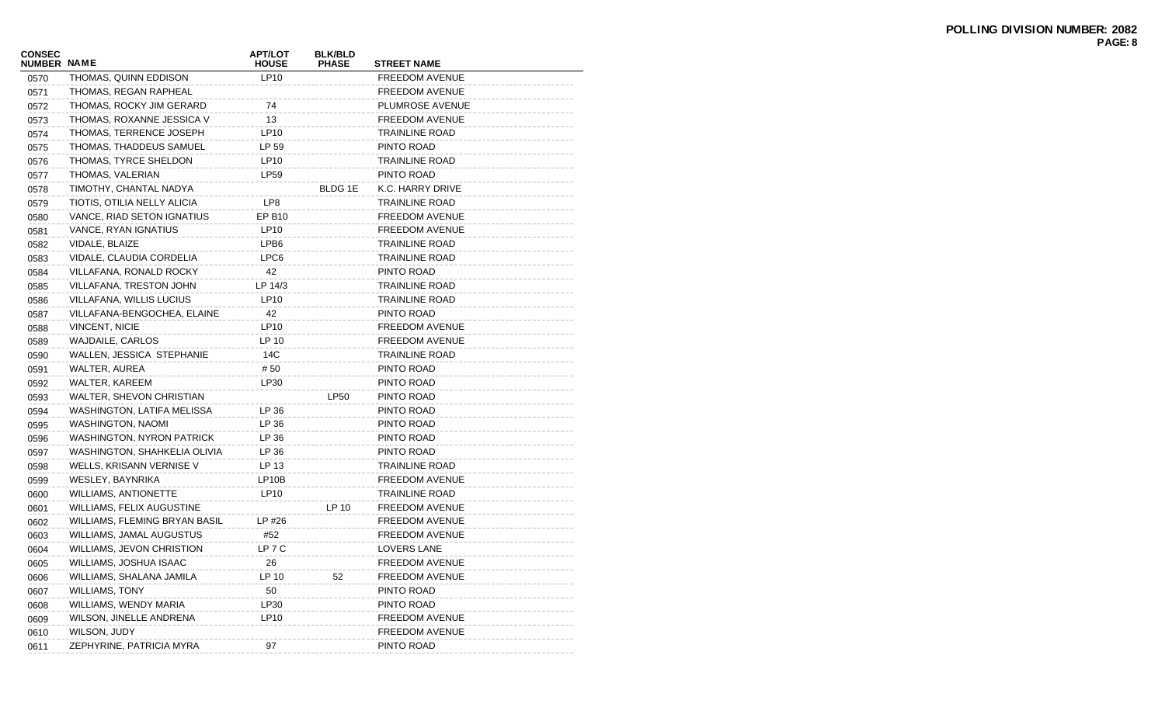| LP10<br>THOMAS, QUINN EDDISON<br>FREEDOM AVENUE<br>0570<br>THOMAS, REGAN RAPHEAL<br>0571<br>FREEDOM AVENUE<br>THOMAS, ROCKY JIM GERARD<br>74<br>PLUMROSE AVENUE<br>0572<br>13<br>THOMAS, ROXANNE JESSICA V<br>FREEDOM AVENUE<br>0573<br>LP10<br>THOMAS, TERRENCE JOSEPH<br>TRAINLINE ROAD<br>0574<br>THOMAS, THADDEUS SAMUEL<br>LP 59<br>PINTO ROAD<br>0575<br>THOMAS, TYRCE SHELDON<br>LP10<br>TRAINLINE ROAD<br>0576<br>THOMAS, VALERIAN<br>LP59<br>PINTO ROAD<br>0577<br>TIMOTHY, CHANTAL NADYA<br>BLDG 1E<br>K.C. HARRY DRIVE<br>0578<br>LP8<br>TIOTIS, OTILIA NELLY ALICIA<br>TRAINLINE ROAD<br>0579<br>VANCE, RIAD SETON IGNATIUS<br>EP B10<br><b>FREEDOM AVENUE</b><br>0580<br>VANCE, RYAN IGNATIUS<br>LP10<br>FREEDOM AVENUE<br>0581<br>VIDALE, BLAIZE<br>LPB6<br>0582<br>TRAINLINE ROAD<br>VIDALE, CLAUDIA CORDELIA<br>LPC6<br>TRAINLINE ROAD<br>0583<br>42<br>VILLAFANA, RONALD ROCKY<br>PINTO ROAD<br>0584<br>VILLAFANA, TRESTON JOHN<br>LP 14/3<br>TRAINLINE ROAD<br>0585<br>VILLAFANA, WILLIS LUCIUS<br>LP10<br>TRAINLINE ROAD<br>0586<br>42<br>VILLAFANA-BENGOCHEA, ELAINE<br>PINTO ROAD<br>0587<br>LP10<br>FREEDOM AVENUE<br>0588<br>VINCENT, NICIE<br>LP 10<br>WAJDAILE, CARLOS<br>FREEDOM AVENUE<br>0589<br>WALLEN, JESSICA STEPHANIE<br>14C<br>TRAINLINE ROAD<br>0590<br>WALTER, AUREA<br># 50<br>PINTO ROAD<br>0591 |  |
|----------------------------------------------------------------------------------------------------------------------------------------------------------------------------------------------------------------------------------------------------------------------------------------------------------------------------------------------------------------------------------------------------------------------------------------------------------------------------------------------------------------------------------------------------------------------------------------------------------------------------------------------------------------------------------------------------------------------------------------------------------------------------------------------------------------------------------------------------------------------------------------------------------------------------------------------------------------------------------------------------------------------------------------------------------------------------------------------------------------------------------------------------------------------------------------------------------------------------------------------------------------------------------------------------------------------------------------|--|
|                                                                                                                                                                                                                                                                                                                                                                                                                                                                                                                                                                                                                                                                                                                                                                                                                                                                                                                                                                                                                                                                                                                                                                                                                                                                                                                                        |  |
|                                                                                                                                                                                                                                                                                                                                                                                                                                                                                                                                                                                                                                                                                                                                                                                                                                                                                                                                                                                                                                                                                                                                                                                                                                                                                                                                        |  |
|                                                                                                                                                                                                                                                                                                                                                                                                                                                                                                                                                                                                                                                                                                                                                                                                                                                                                                                                                                                                                                                                                                                                                                                                                                                                                                                                        |  |
|                                                                                                                                                                                                                                                                                                                                                                                                                                                                                                                                                                                                                                                                                                                                                                                                                                                                                                                                                                                                                                                                                                                                                                                                                                                                                                                                        |  |
|                                                                                                                                                                                                                                                                                                                                                                                                                                                                                                                                                                                                                                                                                                                                                                                                                                                                                                                                                                                                                                                                                                                                                                                                                                                                                                                                        |  |
|                                                                                                                                                                                                                                                                                                                                                                                                                                                                                                                                                                                                                                                                                                                                                                                                                                                                                                                                                                                                                                                                                                                                                                                                                                                                                                                                        |  |
|                                                                                                                                                                                                                                                                                                                                                                                                                                                                                                                                                                                                                                                                                                                                                                                                                                                                                                                                                                                                                                                                                                                                                                                                                                                                                                                                        |  |
|                                                                                                                                                                                                                                                                                                                                                                                                                                                                                                                                                                                                                                                                                                                                                                                                                                                                                                                                                                                                                                                                                                                                                                                                                                                                                                                                        |  |
|                                                                                                                                                                                                                                                                                                                                                                                                                                                                                                                                                                                                                                                                                                                                                                                                                                                                                                                                                                                                                                                                                                                                                                                                                                                                                                                                        |  |
|                                                                                                                                                                                                                                                                                                                                                                                                                                                                                                                                                                                                                                                                                                                                                                                                                                                                                                                                                                                                                                                                                                                                                                                                                                                                                                                                        |  |
|                                                                                                                                                                                                                                                                                                                                                                                                                                                                                                                                                                                                                                                                                                                                                                                                                                                                                                                                                                                                                                                                                                                                                                                                                                                                                                                                        |  |
|                                                                                                                                                                                                                                                                                                                                                                                                                                                                                                                                                                                                                                                                                                                                                                                                                                                                                                                                                                                                                                                                                                                                                                                                                                                                                                                                        |  |
|                                                                                                                                                                                                                                                                                                                                                                                                                                                                                                                                                                                                                                                                                                                                                                                                                                                                                                                                                                                                                                                                                                                                                                                                                                                                                                                                        |  |
|                                                                                                                                                                                                                                                                                                                                                                                                                                                                                                                                                                                                                                                                                                                                                                                                                                                                                                                                                                                                                                                                                                                                                                                                                                                                                                                                        |  |
|                                                                                                                                                                                                                                                                                                                                                                                                                                                                                                                                                                                                                                                                                                                                                                                                                                                                                                                                                                                                                                                                                                                                                                                                                                                                                                                                        |  |
|                                                                                                                                                                                                                                                                                                                                                                                                                                                                                                                                                                                                                                                                                                                                                                                                                                                                                                                                                                                                                                                                                                                                                                                                                                                                                                                                        |  |
|                                                                                                                                                                                                                                                                                                                                                                                                                                                                                                                                                                                                                                                                                                                                                                                                                                                                                                                                                                                                                                                                                                                                                                                                                                                                                                                                        |  |
|                                                                                                                                                                                                                                                                                                                                                                                                                                                                                                                                                                                                                                                                                                                                                                                                                                                                                                                                                                                                                                                                                                                                                                                                                                                                                                                                        |  |
|                                                                                                                                                                                                                                                                                                                                                                                                                                                                                                                                                                                                                                                                                                                                                                                                                                                                                                                                                                                                                                                                                                                                                                                                                                                                                                                                        |  |
|                                                                                                                                                                                                                                                                                                                                                                                                                                                                                                                                                                                                                                                                                                                                                                                                                                                                                                                                                                                                                                                                                                                                                                                                                                                                                                                                        |  |
|                                                                                                                                                                                                                                                                                                                                                                                                                                                                                                                                                                                                                                                                                                                                                                                                                                                                                                                                                                                                                                                                                                                                                                                                                                                                                                                                        |  |
|                                                                                                                                                                                                                                                                                                                                                                                                                                                                                                                                                                                                                                                                                                                                                                                                                                                                                                                                                                                                                                                                                                                                                                                                                                                                                                                                        |  |
| WALTER, KAREEM<br>LP30<br>PINTO ROAD<br>0592                                                                                                                                                                                                                                                                                                                                                                                                                                                                                                                                                                                                                                                                                                                                                                                                                                                                                                                                                                                                                                                                                                                                                                                                                                                                                           |  |
| <b>LP50</b><br>WALTER, SHEVON CHRISTIAN<br>PINTO ROAD<br>0593                                                                                                                                                                                                                                                                                                                                                                                                                                                                                                                                                                                                                                                                                                                                                                                                                                                                                                                                                                                                                                                                                                                                                                                                                                                                          |  |
| WASHINGTON, LATIFA MELISSA<br>LP 36<br>PINTO ROAD<br>0594                                                                                                                                                                                                                                                                                                                                                                                                                                                                                                                                                                                                                                                                                                                                                                                                                                                                                                                                                                                                                                                                                                                                                                                                                                                                              |  |
| LP 36<br>PINTO ROAD<br>0595<br>WASHINGTON, NAOMI                                                                                                                                                                                                                                                                                                                                                                                                                                                                                                                                                                                                                                                                                                                                                                                                                                                                                                                                                                                                                                                                                                                                                                                                                                                                                       |  |
| WASHINGTON, NYRON PATRICK<br>LP 36<br>PINTO ROAD<br>0596                                                                                                                                                                                                                                                                                                                                                                                                                                                                                                                                                                                                                                                                                                                                                                                                                                                                                                                                                                                                                                                                                                                                                                                                                                                                               |  |
| LP 36<br>PINTO ROAD<br>0597<br>WASHINGTON, SHAHKELIA OLIVIA                                                                                                                                                                                                                                                                                                                                                                                                                                                                                                                                                                                                                                                                                                                                                                                                                                                                                                                                                                                                                                                                                                                                                                                                                                                                            |  |
| LP 13<br>WELLS, KRISANN VERNISE V<br>TRAINLINE ROAD<br>0598                                                                                                                                                                                                                                                                                                                                                                                                                                                                                                                                                                                                                                                                                                                                                                                                                                                                                                                                                                                                                                                                                                                                                                                                                                                                            |  |
| LP10B<br>FREEDOM AVENUE<br>0599<br>WESLEY, BAYNRIKA                                                                                                                                                                                                                                                                                                                                                                                                                                                                                                                                                                                                                                                                                                                                                                                                                                                                                                                                                                                                                                                                                                                                                                                                                                                                                    |  |
| LP10<br>TRAINLINE ROAD<br><b>WILLIAMS, ANTIONETTE</b><br>0600                                                                                                                                                                                                                                                                                                                                                                                                                                                                                                                                                                                                                                                                                                                                                                                                                                                                                                                                                                                                                                                                                                                                                                                                                                                                          |  |
| LP 10<br>WILLIAMS, FELIX AUGUSTINE<br>FREEDOM AVENUE<br>0601                                                                                                                                                                                                                                                                                                                                                                                                                                                                                                                                                                                                                                                                                                                                                                                                                                                                                                                                                                                                                                                                                                                                                                                                                                                                           |  |
| WILLIAMS, FLEMING BRYAN BASIL<br>LP #26<br><b>FREEDOM AVENUE</b><br>0602                                                                                                                                                                                                                                                                                                                                                                                                                                                                                                                                                                                                                                                                                                                                                                                                                                                                                                                                                                                                                                                                                                                                                                                                                                                               |  |
| #52<br>FREEDOM AVENUE<br>WILLIAMS, JAMAL AUGUSTUS<br>0603                                                                                                                                                                                                                                                                                                                                                                                                                                                                                                                                                                                                                                                                                                                                                                                                                                                                                                                                                                                                                                                                                                                                                                                                                                                                              |  |
| LP 7 C<br>WILLIAMS, JEVON CHRISTION<br><b>LOVERS LANE</b><br>0604                                                                                                                                                                                                                                                                                                                                                                                                                                                                                                                                                                                                                                                                                                                                                                                                                                                                                                                                                                                                                                                                                                                                                                                                                                                                      |  |
| 26<br>WILLIAMS, JOSHUA ISAAC<br><b>FREEDOM AVENUE</b><br>0605                                                                                                                                                                                                                                                                                                                                                                                                                                                                                                                                                                                                                                                                                                                                                                                                                                                                                                                                                                                                                                                                                                                                                                                                                                                                          |  |
| WILLIAMS, SHALANA JAMILA<br>LP 10<br><b>FREEDOM AVENUE</b><br>52<br>0606                                                                                                                                                                                                                                                                                                                                                                                                                                                                                                                                                                                                                                                                                                                                                                                                                                                                                                                                                                                                                                                                                                                                                                                                                                                               |  |
| <b>WILLIAMS, TONY</b><br>50<br>PINTO ROAD<br>0607                                                                                                                                                                                                                                                                                                                                                                                                                                                                                                                                                                                                                                                                                                                                                                                                                                                                                                                                                                                                                                                                                                                                                                                                                                                                                      |  |
| WILLIAMS, WENDY MARIA<br>LP30<br>PINTO ROAD<br>0608                                                                                                                                                                                                                                                                                                                                                                                                                                                                                                                                                                                                                                                                                                                                                                                                                                                                                                                                                                                                                                                                                                                                                                                                                                                                                    |  |
| WILSON, JINELLE ANDRENA<br>LP10<br>FREEDOM AVENUE<br>0609                                                                                                                                                                                                                                                                                                                                                                                                                                                                                                                                                                                                                                                                                                                                                                                                                                                                                                                                                                                                                                                                                                                                                                                                                                                                              |  |
| WILSON, JUDY<br>FREEDOM AVENUE<br>0610                                                                                                                                                                                                                                                                                                                                                                                                                                                                                                                                                                                                                                                                                                                                                                                                                                                                                                                                                                                                                                                                                                                                                                                                                                                                                                 |  |
| ZEPHYRINE, PATRICIA MYRA<br>97<br>PINTO ROAD<br>0611                                                                                                                                                                                                                                                                                                                                                                                                                                                                                                                                                                                                                                                                                                                                                                                                                                                                                                                                                                                                                                                                                                                                                                                                                                                                                   |  |